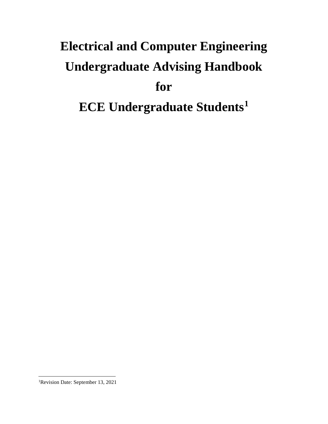# **Electrical and Computer Engineering Undergraduate Advising Handbook for ECE Undergraduate Students<sup>1</sup>**

 $\overline{a}$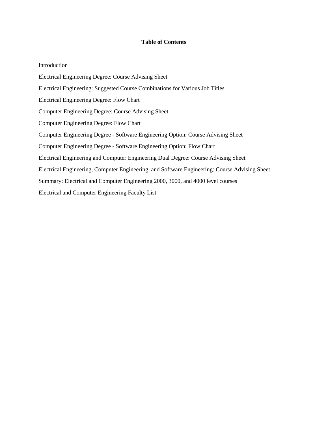#### **Table of Contents**

#### Introduction

Electrical Engineering Degree: Course Advising Sheet Electrical Engineering: Suggested Course Combinations for Various Job Titles Electrical Engineering Degree: Flow Chart Computer Engineering Degree: Course Advising Sheet Computer Engineering Degree: Flow Chart Computer Engineering Degree - Software Engineering Option: Course Advising Sheet Computer Engineering Degree - Software Engineering Option: Flow Chart Electrical Engineering and Computer Engineering Dual Degree: Course Advising Sheet Electrical Engineering, Computer Engineering, and Software Engineering: Course Advising Sheet Summary: Electrical and Computer Engineering 2000, 3000, and 4000 level courses Electrical and Computer Engineering Faculty List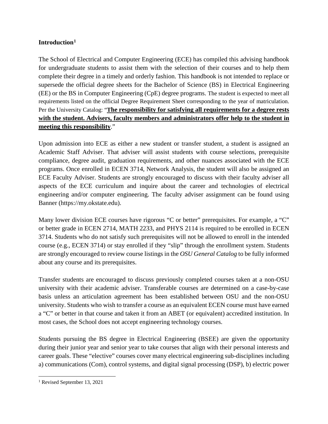## **Introduction[1](#page-2-0)**

The School of Electrical and Computer Engineering (ECE) has compiled this advising handbook for undergraduate students to assist them with the selection of their courses and to help them complete their degree in a timely and orderly fashion. This handbook is not intended to replace or supersede the official degree sheets for the Bachelor of Science (BS) in Electrical Engineering (EE) or the BS in Computer Engineering (CpE) degree programs. The student is expected to meet all requirements listed on the official Degree Requirement Sheet corresponding to the year of matriculation. Per the University Catalog: "**The responsibility for satisfying all requirements for a degree rests with the student. Advisers, faculty members and administrators offer help to the student in meeting this responsibility**."

Upon admission into ECE as either a new student or transfer student, a student is assigned an Academic Staff Adviser. That adviser will assist students with course selections, prerequisite compliance, degree audit, graduation requirements, and other nuances associated with the ECE programs. Once enrolled in ECEN 3714, Network Analysis, the student will also be assigned an ECE Faculty Adviser. Students are strongly encouraged to discuss with their faculty adviser all aspects of the ECE curriculum and inquire about the career and technologies of electrical engineering and/or computer engineering. The faculty adviser assignment can be found using Banner (https://my.okstate.edu).

Many lower division ECE courses have rigorous "C or better" prerequisites. For example, a "C" or better grade in ECEN 2714, MATH 2233, and PHYS 2114 is required to be enrolled in ECEN 3714. Students who do not satisfy such prerequisites will not be allowed to enroll in the intended course (e.g., ECEN 3714) or stay enrolled if they "slip" through the enrollment system. Students are strongly encouraged to review course listings in the *OSU General Catalog* to be fully informed about any course and its prerequisites.

Transfer students are encouraged to discuss previously completed courses taken at a non-OSU university with their academic adviser. Transferable courses are determined on a case-by-case basis unless an articulation agreement has been established between OSU and the non-OSU university. Students who wish to transfer a course as an equivalent ECEN course must have earned a "C" or better in that course and taken it from an ABET (or equivalent) accredited institution. In most cases, the School does not accept engineering technology courses.

Students pursuing the BS degree in Electrical Engineering (BSEE) are given the opportunity during their junior year and senior year to take courses that align with their personal interests and career goals. These "elective" courses cover many electrical engineering sub-disciplines including a) communications (Com), control systems, and digital signal processing (DSP), b) electric power

 $\overline{a}$ 

<span id="page-2-0"></span><sup>1</sup> Revised September 13, 2021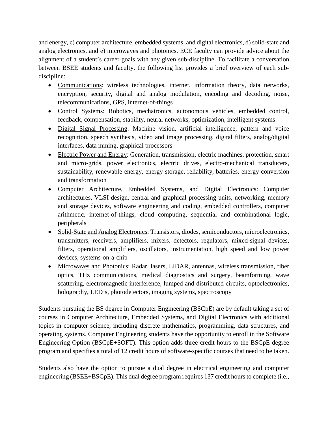and energy, c) computer architecture, embedded systems, and digital electronics, d) solid-state and analog electronics, and e) microwaves and photonics. ECE faculty can provide advice about the alignment of a student's career goals with any given sub-discipline. To facilitate a conversation between BSEE students and faculty, the following list provides a brief overview of each subdiscipline:

- Communications: wireless technologies, internet, information theory, data networks, encryption, security, digital and analog modulation, encoding and decoding, noise, telecommunications, GPS, internet-of-things
- Control Systems: Robotics, mechatronics, autonomous vehicles, embedded control, feedback, compensation, stability, neural networks, optimization, intelligent systems
- Digital Signal Processing: Machine vision, artificial intelligence, pattern and voice recognition, speech synthesis, video and image processing, digital filters, analog/digital interfaces, data mining, graphical processors
- Electric Power and Energy: Generation, transmission, electric machines, protection, smart and micro-grids, power electronics, electric drives, electro-mechanical transducers, sustainability, renewable energy, energy storage, reliability, batteries, energy conversion and transformation
- Computer Architecture, Embedded Systems, and Digital Electronics: Computer architectures, VLSI design, central and graphical processing units, networking, memory and storage devices, software engineering and coding, embedded controllers, computer arithmetic, internet-of-things, cloud computing, sequential and combinational logic, peripherals
- Solid-State and Analog Electronics: Transistors, diodes, semiconductors, microelectronics, transmitters, receivers, amplifiers, mixers, detectors, regulators, mixed-signal devices, filters, operational amplifiers, oscillators, instrumentation, high speed and low power devices, systems-on-a-chip
- Microwaves and Photonics: Radar, lasers, LIDAR, antennas, wireless transmission, fiber optics, THz communications, medical diagnostics and surgery, beamforming, wave scattering, electromagnetic interference, lumped and distributed circuits, optoelectronics, holography, LED's, photodetectors, imaging systems, spectroscopy

Students pursuing the BS degree in Computer Engineering (BSCpE) are by default taking a set of courses in Computer Architecture, Embedded Systems, and Digital Electronics with additional topics in computer science, including discrete mathematics, programming, data structures, and operating systems. Computer Engineering students have the opportunity to enroll in the Software Engineering Option (BSCpE+SOFT). This option adds three credit hours to the BSCpE degree program and specifies a total of 12 credit hours of software-specific courses that need to be taken.

Students also have the option to pursue a dual degree in electrical engineering and computer engineering (BSEE+BSCpE). This dual degree program requires 137 credit hours to complete (i.e.,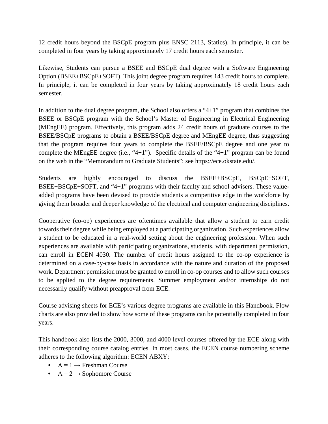12 credit hours beyond the BSCpE program plus ENSC 2113, Statics). In principle, it can be completed in four years by taking approximately 17 credit hours each semester.

Likewise, Students can pursue a BSEE and BSCpE dual degree with a Software Engineering Option (BSEE+BSCpE+SOFT). This joint degree program requires 143 credit hours to complete. In principle, it can be completed in four years by taking approximately 18 credit hours each semester.

In addition to the dual degree program, the School also offers a "4+1" program that combines the BSEE or BSCpE program with the School's Master of Engineering in Electrical Engineering (MEngEE) program. Effectively, this program adds 24 credit hours of graduate courses to the BSEE/BSCpE programs to obtain a BSEE/BSCpE degree and MEngEE degree, thus suggesting that the program requires four years to complete the BSEE/BSCpE degree and one year to complete the MEngEE degree (i.e., "4+1"). Specific details of the "4+1" program can be found on the web in the "Memorandum to Graduate Students"; see https://ece.okstate.edu/.

Students are highly encouraged to discuss the BSEE+BSCpE, BSCpE+SOFT, BSEE+BSCpE+SOFT, and "4+1" programs with their faculty and school advisers. These valueadded programs have been devised to provide students a competitive edge in the workforce by giving them broader and deeper knowledge of the electrical and computer engineering disciplines.

Cooperative (co-op) experiences are oftentimes available that allow a student to earn credit towards their degree while being employed at a participating organization. Such experiences allow a student to be educated in a real-world setting about the engineering profession. When such experiences are available with participating organizations, students, with department permission, can enroll in ECEN 4030. The number of credit hours assigned to the co-op experience is determined on a case-by-case basis in accordance with the nature and duration of the proposed work. Department permission must be granted to enroll in co-op courses and to allow such courses to be applied to the degree requirements. Summer employment and/or internships do not necessarily qualify without preapproval from ECE.

Course advising sheets for ECE's various degree programs are available in this Handbook. Flow charts are also provided to show how some of these programs can be potentially completed in four years.

This handbook also lists the 2000, 3000, and 4000 level courses offered by the ECE along with their corresponding course catalog entries. In most cases, the ECEN course numbering scheme adheres to the following algorithm: ECEN ABXY:

- $A = 1 \rightarrow$  Freshman Course
- $A = 2 \rightarrow$  Sophomore Course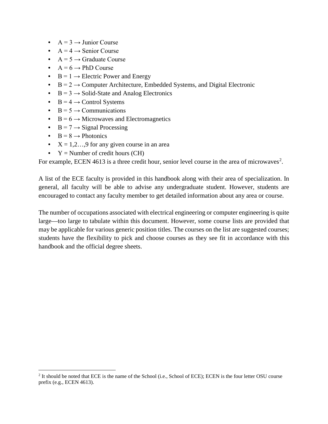- $A = 3 \rightarrow$  Junior Course
- $A = 4 \rightarrow$  Senior Course
- $A = 5 \rightarrow$  Graduate Course
- $A = 6 \rightarrow PhD$  Course
- $B = 1 \rightarrow$  Electric Power and Energy
- $B = 2 \rightarrow$  Computer Architecture, Embedded Systems, and Digital Electronic
- $B = 3 \rightarrow$  Solid-State and Analog Electronics
- $B = 4 \rightarrow$  Control Systems
- $B = 5 \rightarrow$  Communications
- $B = 6 \rightarrow$  Microwaves and Electromagnetics
- $B = 7 \rightarrow$  Signal Processing
- $B = 8 \rightarrow$  Photonics

l

- $X = 1, 2, \ldots, 9$  for any given course in an area
- $Y =$  Number of credit hours (CH)

For example, ECEN 4613 is a three credit hour, senior level course in the area of microwaves<sup>[2](#page-5-0)</sup>.

A list of the ECE faculty is provided in this handbook along with their area of specialization. In general, all faculty will be able to advise any undergraduate student. However, students are encouraged to contact any faculty member to get detailed information about any area or course.

The number of occupations associated with electrical engineering or computer engineering is quite large—too large to tabulate within this document. However, some course lists are provided that may be applicable for various generic position titles. The courses on the list are suggested courses; students have the flexibility to pick and choose courses as they see fit in accordance with this handbook and the official degree sheets.

<span id="page-5-0"></span> $2$  It should be noted that ECE is the name of the School (i.e., School of ECE); ECEN is the four letter OSU course prefix (e.g., ECEN 4613).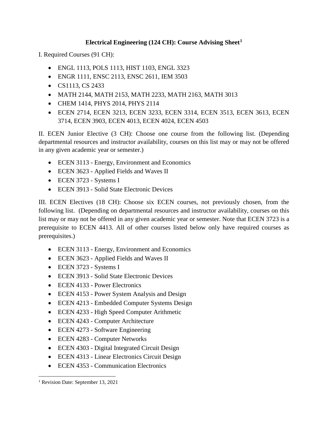## **Electrical Engineering (124 CH): Course Advising Sheet[1](#page-6-0)**

I. Required Courses (91 CH):

- ENGL 1113, POLS 1113, HIST 1103, ENGL 3323
- ENGR 1111, ENSC 2113, ENSC 2611, IEM 3503
- CS1113, CS 2433
- MATH 2144, MATH 2153, MATH 2233, MATH 2163, MATH 3013
- CHEM 1414, PHYS 2014, PHYS 2114
- ECEN 2714, ECEN 3213, ECEN 3233, ECEN 3314, ECEN 3513, ECEN 3613, ECEN 3714, ECEN 3903, ECEN 4013, ECEN 4024, ECEN 4503

II. ECEN Junior Elective (3 CH): Choose one course from the following list. (Depending departmental resources and instructor availability, courses on this list may or may not be offered in any given academic year or semester.)

- ECEN 3113 Energy, Environment and Economics
- ECEN 3623 Applied Fields and Waves II
- ECEN 3723 Systems I
- ECEN 3913 Solid State Electronic Devices

III. ECEN Electives (18 CH): Choose six ECEN courses, not previously chosen, from the following list. (Depending on departmental resources and instructor availability, courses on this list may or may not be offered in any given academic year or semester. Note that ECEN 3723 is a prerequisite to ECEN 4413. All of other courses listed below only have required courses as prerequisites.)

- ECEN 3113 Energy, Environment and Economics
- ECEN 3623 Applied Fields and Waves II
- ECEN 3723 Systems I
- ECEN 3913 Solid State Electronic Devices
- ECEN 4133 Power Electronics
- ECEN 4153 Power System Analysis and Design
- ECEN 4213 Embedded Computer Systems Design
- ECEN 4233 High Speed Computer Arithmetic
- ECEN 4243 Computer Architecture
- ECEN 4273 Software Engineering
- ECEN 4283 Computer Networks
- ECEN 4303 Digital Integrated Circuit Design
- ECEN 4313 Linear Electronics Circuit Design
- ECEN 4353 Communication Electronics

<span id="page-6-0"></span><sup>&</sup>lt;sup>1</sup> Revision Date: September 13, 2021  $\overline{a}$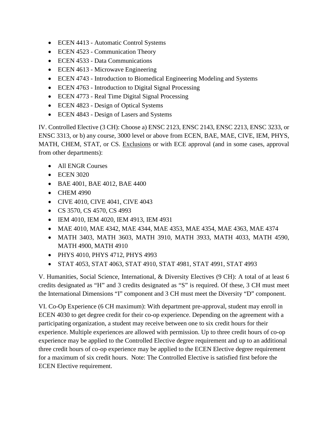- ECEN 4413 Automatic Control Systems
- ECEN 4523 Communication Theory
- ECEN 4533 Data Communications
- ECEN 4613 Microwave Engineering
- ECEN 4743 Introduction to Biomedical Engineering Modeling and Systems
- ECEN 4763 Introduction to Digital Signal Processing
- ECEN 4773 Real Time Digital Signal Processing
- ECEN 4823 Design of Optical Systems
- ECEN 4843 Design of Lasers and Systems

IV. Controlled Elective (3 CH): Choose a) ENSC 2123, ENSC 2143, ENSC 2213, ENSC 3233, or ENSC 3313, or b) any course, 3000 level or above from ECEN, BAE, MAE, CIVE, IEM, PHYS, MATH, CHEM, STAT, or CS. Exclusions or with ECE approval (and in some cases, approval from other departments):

- All ENGR Courses
- ECEN 3020
- BAE 4001, BAE 4012, BAE 4400
- CHEM 4990
- CIVE 4010, CIVE 4041, CIVE 4043
- CS 3570, CS 4570, CS 4993
- IEM 4010, IEM 4020, IEM 4913, IEM 4931
- MAE 4010, MAE 4342, MAE 4344, MAE 4353, MAE 4354, MAE 4363, MAE 4374
- MATH 3403, MATH 3603, MATH 3910, MATH 3933, MATH 4033, MATH 4590, MATH 4900, MATH 4910
- PHYS 4010, PHYS 4712, PHYS 4993
- STAT 4053, STAT 4063, STAT 4910, STAT 4981, STAT 4991, STAT 4993

V. Humanities, Social Science, International, & Diversity Electives (9 CH): A total of at least 6 credits designated as "H" and 3 credits designated as "S" is required. Of these, 3 CH must meet the International Dimensions "I" component and 3 CH must meet the Diversity "D" component.

VI. Co-Op Experience (6 CH maximum): With department pre-approval, student may enroll in ECEN 4030 to get degree credit for their co-op experience. Depending on the agreement with a participating organization, a student may receive between one to six credit hours for their experience. Multiple experiences are allowed with permission. Up to three credit hours of co-op experience may be applied to the Controlled Elective degree requirement and up to an additional three credit hours of co-op experience may be applied to the ECEN Elective degree requirement for a maximum of six credit hours. Note: The Controlled Elective is satisfied first before the ECEN Elective requirement.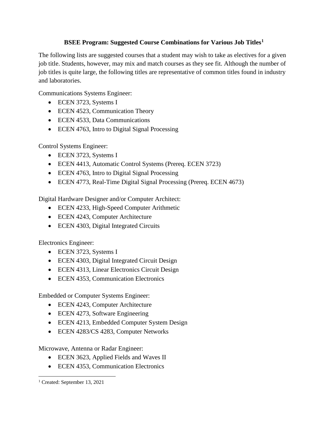## **BSEE Program: Suggested Course Combinations for Various Job Titles1**

The following lists are suggested courses that a student may wish to take as electives for a given job title. Students, however, may mix and match courses as they see fit. Although the number of job titles is quite large, the following titles are representative of common titles found in industry and laboratories.

Communications Systems Engineer:

- ECEN 3723, Systems I
- ECEN 4523, Communication Theory
- ECEN 4533, Data Communications
- ECEN 4763, Intro to Digital Signal Processing

Control Systems Engineer:

- ECEN 3723, Systems I
- ECEN 4413, Automatic Control Systems (Prereq. ECEN 3723)
- ECEN 4763, Intro to Digital Signal Processing
- ECEN 4773, Real-Time Digital Signal Processing (Prereq. ECEN 4673)

Digital Hardware Designer and/or Computer Architect:

- ECEN 4233, High-Speed Computer Arithmetic
- ECEN 4243, Computer Architecture
- ECEN 4303, Digital Integrated Circuits

Electronics Engineer:

- ECEN 3723, Systems I
- ECEN 4303, Digital Integrated Circuit Design
- ECEN 4313, Linear Electronics Circuit Design
- ECEN 4353, Communication Electronics

Embedded or Computer Systems Engineer:

- ECEN 4243, Computer Architecture
- ECEN 4273, Software Engineering
- ECEN 4213, Embedded Computer System Design
- ECEN 4283/CS 4283, Computer Networks

Microwave, Antenna or Radar Engineer:

- ECEN 3623, Applied Fields and Waves II
- ECEN 4353, Communication Electronics

<sup>1</sup> Created: September 13, 2021  $\overline{a}$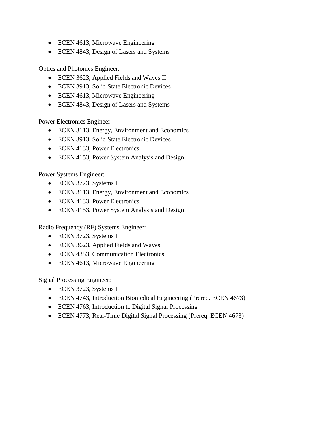- ECEN 4613, Microwave Engineering
- ECEN 4843, Design of Lasers and Systems

Optics and Photonics Engineer:

- ECEN 3623, Applied Fields and Waves II
- ECEN 3913, Solid State Electronic Devices
- ECEN 4613, Microwave Engineering
- ECEN 4843, Design of Lasers and Systems

Power Electronics Engineer

- ECEN 3113, Energy, Environment and Economics
- ECEN 3913, Solid State Electronic Devices
- ECEN 4133, Power Electronics
- ECEN 4153, Power System Analysis and Design

Power Systems Engineer:

- ECEN 3723, Systems I
- ECEN 3113, Energy, Environment and Economics
- ECEN 4133, Power Electronics
- ECEN 4153, Power System Analysis and Design

Radio Frequency (RF) Systems Engineer:

- ECEN 3723, Systems I
- ECEN 3623, Applied Fields and Waves II
- ECEN 4353, Communication Electronics
- ECEN 4613, Microwave Engineering

Signal Processing Engineer:

- ECEN 3723, Systems I
- ECEN 4743, Introduction Biomedical Engineering (Prereq. ECEN 4673)
- ECEN 4763, Introduction to Digital Signal Processing
- ECEN 4773, Real-Time Digital Signal Processing (Prereq. ECEN 4673)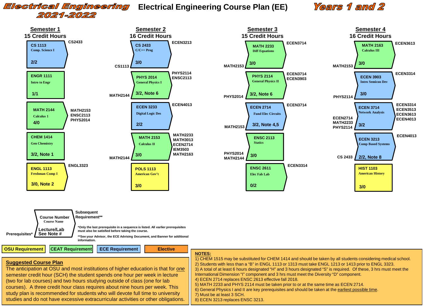## 2021-2022

## **Electrical Engineering** Electrical Engineering Course Plan (EE) Years 1 and 2





**OSU Requirement CEAT Requirement ECE Requirement Elective**

#### **NOTES:**

|                                                                                                                                                                                                                                                                                                                                                                                                                                                                                                                                       | 1101120.                                                                                                                                                                                                                                                                                                                                                                                                                                                                                                                                                                                                                                                                                                                                                                                   |
|---------------------------------------------------------------------------------------------------------------------------------------------------------------------------------------------------------------------------------------------------------------------------------------------------------------------------------------------------------------------------------------------------------------------------------------------------------------------------------------------------------------------------------------|--------------------------------------------------------------------------------------------------------------------------------------------------------------------------------------------------------------------------------------------------------------------------------------------------------------------------------------------------------------------------------------------------------------------------------------------------------------------------------------------------------------------------------------------------------------------------------------------------------------------------------------------------------------------------------------------------------------------------------------------------------------------------------------------|
| <b>Suggested Course Plan</b><br>The anticipation at OSU and most institutions of higher education is that for one<br>semester credit hour (SCH) the student spends one hour per week in lecture<br>(two for lab courses) and two hours studying outside of class (one for lab<br>courses). A three credit hour class requires about nine hours per week. This<br>study plan is recommended for students who will devote full time to university<br>studies and do not have excessive extracurricular activities or other obligations. | $\overline{1}$ ) CHEM 1515 may be substituted for CHEM 1414 and should be taken by all students considering medical school.<br>2) Students with less than a "B" in ENGL 1113 or 1313 must take ENGL 1213 or 1413 prior to ENGL 3323.<br>3) A total of at least 6 hours designated "H" and 3 hours designated "S" is required. Of these, 3 hrs must meet the<br>International Dimension "I" component and 3 hrs must meet the Diversity "D" component.<br>4 4) ECEN 2714 replaces ENSC 2613 effective fall 2018.<br>$\vert$ 5) MATH 2233 and PHYS 2114 must be taken prior to or at the same time as ECEN 2714.<br>  6) General Physics I and II are key prerequisites and should be taken at the earliest possible time.<br>7) Must be at least 3 SCH.<br>8) ECEN 3213 replaces ENSC 3213. |
|                                                                                                                                                                                                                                                                                                                                                                                                                                                                                                                                       |                                                                                                                                                                                                                                                                                                                                                                                                                                                                                                                                                                                                                                                                                                                                                                                            |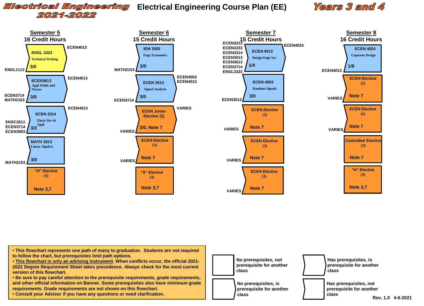# 2021-2022

## **Electrical Engineering** Electrical Engineering Course Plan (EE)

## Years 3 and 4



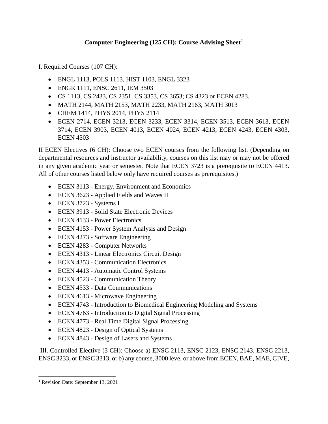## **Computer Engineering (125 CH): Course Advising Sheet[1](#page-12-0)**

I. Required Courses (107 CH):

- ENGL 1113, POLS 1113, HIST 1103, ENGL 3323
- ENGR 1111, ENSC 2611, IEM 3503
- CS 1113, CS 2433, CS 2351, CS 3353, CS 3653; CS 4323 or ECEN 4283.
- MATH 2144, MATH 2153, MATH 2233, MATH 2163, MATH 3013
- CHEM 1414, PHYS 2014, PHYS 2114
- ECEN 2714, ECEN 3213, ECEN 3233, ECEN 3314, ECEN 3513, ECEN 3613, ECEN 3714, ECEN 3903, ECEN 4013, ECEN 4024, ECEN 4213, ECEN 4243, ECEN 4303, ECEN 4503

II ECEN Electives (6 CH): Choose two ECEN courses from the following list. (Depending on departmental resources and instructor availability, courses on this list may or may not be offered in any given academic year or semester. Note that ECEN 3723 is a prerequisite to ECEN 4413. All of other courses listed below only have required courses as prerequisites.)

- ECEN 3113 Energy, Environment and Economics
- ECEN 3623 Applied Fields and Waves II
- ECEN 3723 Systems I
- ECEN 3913 Solid State Electronic Devices
- ECEN 4133 Power Electronics
- ECEN 4153 Power System Analysis and Design
- ECEN 4273 Software Engineering
- ECEN 4283 Computer Networks
- ECEN 4313 Linear Electronics Circuit Design
- ECEN 4353 Communication Electronics
- ECEN 4413 Automatic Control Systems
- ECEN 4523 Communication Theory
- ECEN 4533 Data Communications
- ECEN 4613 Microwave Engineering
- ECEN 4743 Introduction to Biomedical Engineering Modeling and Systems
- ECEN 4763 Introduction to Digital Signal Processing
- ECEN 4773 Real Time Digital Signal Processing
- ECEN 4823 Design of Optical Systems
- ECEN 4843 Design of Lasers and Systems

III. Controlled Elective (3 CH): Choose a) ENSC 2113, ENSC 2123, ENSC 2143, ENSC 2213, ENSC 3233, or ENSC 3313, or b) any course, 3000 level or above from ECEN, BAE, MAE, CIVE,

 $\overline{a}$ 

<span id="page-12-0"></span><sup>&</sup>lt;sup>1</sup> Revision Date: September 13, 2021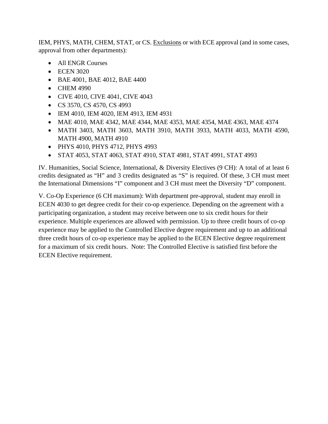IEM, PHYS, MATH, CHEM, STAT, or CS. Exclusions or with ECE approval (and in some cases, approval from other departments):

- All ENGR Courses
- ECEN 3020
- BAE 4001, BAE 4012, BAE 4400
- CHEM 4990
- CIVE 4010, CIVE 4041, CIVE 4043
- CS 3570, CS 4570, CS 4993
- IEM 4010, IEM 4020, IEM 4913, IEM 4931
- MAE 4010, MAE 4342, MAE 4344, MAE 4353, MAE 4354, MAE 4363, MAE 4374
- MATH 3403, MATH 3603, MATH 3910, MATH 3933, MATH 4033, MATH 4590, MATH 4900, MATH 4910
- PHYS 4010, PHYS 4712, PHYS 4993
- STAT 4053, STAT 4063, STAT 4910, STAT 4981, STAT 4991, STAT 4993

IV. Humanities, Social Science, International, & Diversity Electives (9 CH): A total of at least 6 credits designated as "H" and 3 credits designated as "S" is required. Of these, 3 CH must meet the International Dimensions "I" component and 3 CH must meet the Diversity "D" component.

V. Co-Op Experience (6 CH maximum): With department pre-approval, student may enroll in ECEN 4030 to get degree credit for their co-op experience. Depending on the agreement with a participating organization, a student may receive between one to six credit hours for their experience. Multiple experiences are allowed with permission. Up to three credit hours of co-op experience may be applied to the Controlled Elective degree requirement and up to an additional three credit hours of co-op experience may be applied to the ECEN Elective degree requirement for a maximum of six credit hours. Note: The Controlled Elective is satisfied first before the ECEN Elective requirement.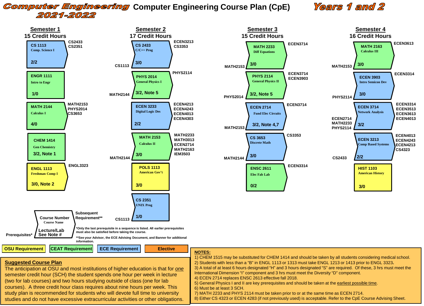## **Computer Engineering Computer Engineering Course Plan (CpE)** 2021-2022

## **Years 1 and 2**



courses). A three credit hour class requires about nine hours per week. This study plan is recommended for students who will devote full time to university studies and do not have excessive extracurricular activities or other obligations.

5) General Physics I and II are key prerequisites and should be taken at the earliest possible time.

6) Must be at least 3 SCH.

7) MATH 2233 and PHYS 2114 must be taken prior to or at the same time as ECEN 2714.

8) Either CS 4323 or ECEN 4283 (if not previously used) is acceptable. Refer to the CpE Course Advising Sheet.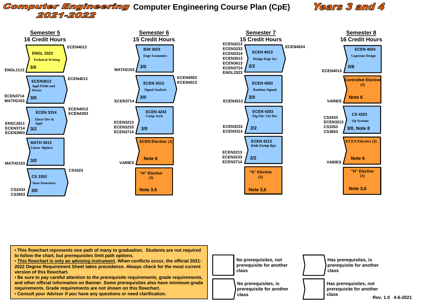## **Computer Engineering Computer Engineering Course Plan (CpE)** 2021-2022

## Years 3 and 4



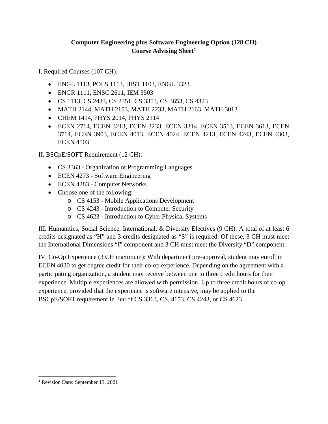## **Computer Engineering plus Software Engineering Option (128 CH) Course Advising Sheet1**

I. Required Courses (107 CH):

- ENGL 1113, POLS 1113, HIST 1103, ENGL 3323
- ENGR 1111, ENSC 2611, IEM 3503
- CS 1113, CS 2433, CS 2351, CS 3353, CS 3653, CS 4323
- MATH 2144, MATH 2153, MATH 2233, MATH 2163, MATH 3013
- CHEM 1414, PHYS 2014, PHYS 2114
- ECEN 2714, ECEN 3213, ECEN 3233, ECEN 3314, ECEN 3513, ECEN 3613, ECEN 3714, ECEN 3903, ECEN 4013, ECEN 4024, ECEN 4213, ECEN 4243, ECEN 4303, ECEN 4503

II. BSCpE/SOFT Requirement (12 CH):

- CS 3363 Organization of Programming Languages
- ECEN 4273 Software Engineering
- ECEN 4283 Computer Networks
- Choose one of the following:
	- o CS 4153 Mobile Applications Development
	- o CS 4243 Introduction to Computer Security
	- o CS 4623 Introduction to Cyber Physical Systems

III. Humanities, Social Science, International, & Diversity Electives (9 CH): A total of at least 6 credits designated as "H" and 3 credits designated as "S" is required. Of these, 3 CH must meet the International Dimensions "I" component and 3 CH must meet the Diversity "D" component.

IV. Co-Op Experience (3 CH maximum): With department pre-approval, student may enroll in ECEN 4030 to get degree credit for their co-op experience. Depending on the agreement with a participating organization, a student may receive between one to three credit hours for their experience. Multiple experiences are allowed with permission. Up to three credit hours of co-op experience, provided that the experience is software intensive, may be applied to the BSCpE/SOFT requirement in lieu of CS 3363, CS, 4153, CS 4243, or CS 4623.

 $\overline{a}$ 

<sup>&</sup>lt;sup>1</sup> Revision Date: September 13, 2021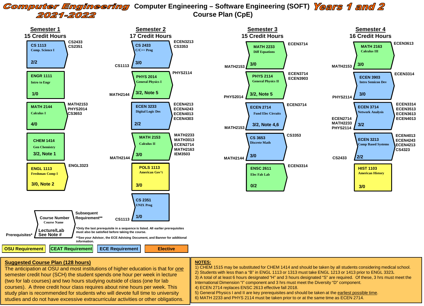#### **Computer Engineering** Computer Engineering – Software Engineering (SOFT) Years 1 and 2 **Course Plan (CpE)** 2021-2022



#### **Suggested Course Plan (128 hours)**

**NOTES:**

The anticipation at OSU and most institutions of higher education is that for *one* semester credit hour (SCH) the student spends one hour per week in lecture (two for lab courses) and two hours studying outside of class (one for lab courses). A three credit hour class requires about nine hours per week. This study plan is recommended for students who will devote full time to university studies and do not have excessive extracurricular activities or other obligations. 1) CHEM 1515 may be substituted for CHEM 1414 and should be taken by all students considering medical school. 2) Students with less than a "B" in ENGL 1113 or 1313 must take ENGL 1213 or 1413 prior to ENGL 3323**.** 3) A total of at least 6 hours designated "H" and 3 hours designated "S" are required. Of these, 3 hrs must meet the International Dimension "I" component and 3 hrs must meet the Diversity "D" component. 4) ECEN 2714 replaces ENSC 2613 effective fall 2018. 5) General Physics I and II are key prerequisites and should be taken at the earliest possible time. 6) MATH 2233 and PHYS 2114 must be taken prior to or at the same time as ECEN 2714.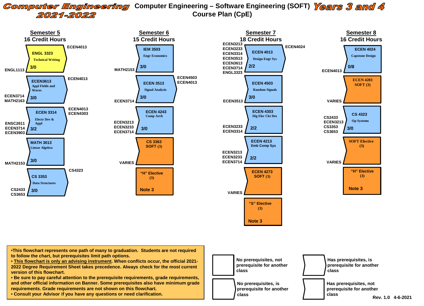#### **Computer Engineering** Computer Engineering – Software Engineering (SOFT) Years 3 and 4 **Course Plan (CpE)** 2021-2022



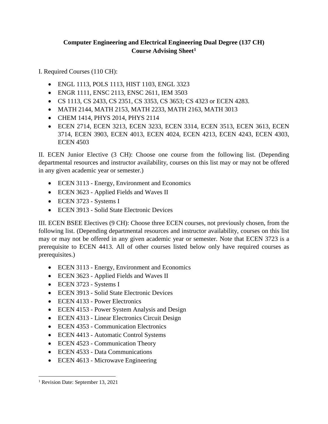## **Computer Engineering and Electrical Engineering Dual Degree (137 CH) Course Advising Sheet1**

I. Required Courses (110 CH):

- ENGL 1113, POLS 1113, HIST 1103, ENGL 3323
- ENGR 1111, ENSC 2113, ENSC 2611, IEM 3503
- CS 1113, CS 2433, CS 2351, CS 3353, CS 3653; CS 4323 or ECEN 4283.
- MATH 2144, MATH 2153, MATH 2233, MATH 2163, MATH 3013
- CHEM 1414, PHYS 2014, PHYS 2114
- ECEN 2714, ECEN 3213, ECEN 3233, ECEN 3314, ECEN 3513, ECEN 3613, ECEN 3714, ECEN 3903, ECEN 4013, ECEN 4024, ECEN 4213, ECEN 4243, ECEN 4303, ECEN 4503

II. ECEN Junior Elective (3 CH): Choose one course from the following list. (Depending departmental resources and instructor availability, courses on this list may or may not be offered in any given academic year or semester.)

- ECEN 3113 Energy, Environment and Economics
- ECEN 3623 Applied Fields and Waves II
- ECEN 3723 Systems I
- ECEN 3913 Solid State Electronic Devices

III. ECEN BSEE Electives (9 CH): Choose three ECEN courses, not previously chosen, from the following list. (Depending departmental resources and instructor availability, courses on this list may or may not be offered in any given academic year or semester. Note that ECEN 3723 is a prerequisite to ECEN 4413. All of other courses listed below only have required courses as prerequisites.)

- ECEN 3113 Energy, Environment and Economics
- ECEN 3623 Applied Fields and Waves II
- ECEN 3723 Systems I
- ECEN 3913 Solid State Electronic Devices
- ECEN 4133 Power Electronics
- ECEN 4153 Power System Analysis and Design
- ECEN 4313 Linear Electronics Circuit Design
- ECEN 4353 Communication Electronics
- ECEN 4413 Automatic Control Systems
- ECEN 4523 Communication Theory
- ECEN 4533 Data Communications
- ECEN 4613 Microwave Engineering

<sup>&</sup>lt;sup>1</sup> Revision Date: September 13, 2021  $\overline{a}$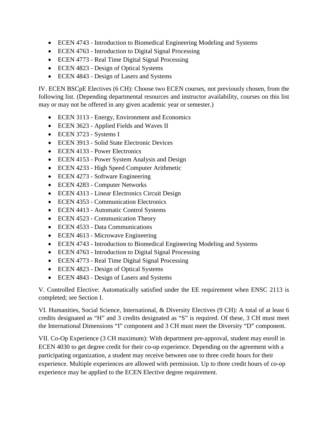- ECEN 4743 Introduction to Biomedical Engineering Modeling and Systems
- ECEN 4763 Introduction to Digital Signal Processing
- ECEN 4773 Real Time Digital Signal Processing
- ECEN 4823 Design of Optical Systems
- ECEN 4843 Design of Lasers and Systems

IV. ECEN BSCpE Electives (6 CH): Choose two ECEN courses, not previously chosen, from the following list. (Depending departmental resources and instructor availability, courses on this list may or may not be offered in any given academic year or semester.)

- ECEN 3113 Energy, Environment and Economics
- ECEN 3623 Applied Fields and Waves II
- ECEN 3723 Systems I
- ECEN 3913 Solid State Electronic Devices
- ECEN 4133 Power Electronics
- ECEN 4153 Power System Analysis and Design
- ECEN 4233 High Speed Computer Arithmetic
- ECEN 4273 Software Engineering
- ECEN 4283 Computer Networks
- ECEN 4313 Linear Electronics Circuit Design
- ECEN 4353 Communication Electronics
- ECEN 4413 Automatic Control Systems
- ECEN 4523 Communication Theory
- ECEN 4533 Data Communications
- ECEN 4613 Microwave Engineering
- ECEN 4743 Introduction to Biomedical Engineering Modeling and Systems
- ECEN 4763 Introduction to Digital Signal Processing
- ECEN 4773 Real Time Digital Signal Processing
- ECEN 4823 Design of Optical Systems
- ECEN 4843 Design of Lasers and Systems

V. Controlled Elective: Automatically satisfied under the EE requirement when ENSC 2113 is completed; see Section I.

VI. Humanities, Social Science, International, & Diversity Electives (9 CH): A total of at least 6 credits designated as "H" and 3 credits designated as "S" is required. Of these, 3 CH must meet the International Dimensions "I" component and 3 CH must meet the Diversity "D" component.

VII. Co-Op Experience (3 CH maximum): With department pre-approval, student may enroll in ECEN 4030 to get degree credit for their co-op experience. Depending on the agreement with a participating organization, a student may receive between one to three credit hours for their experience. Multiple experiences are allowed with permission. Up to three credit hours of co-op experience may be applied to the ECEN Elective degree requirement.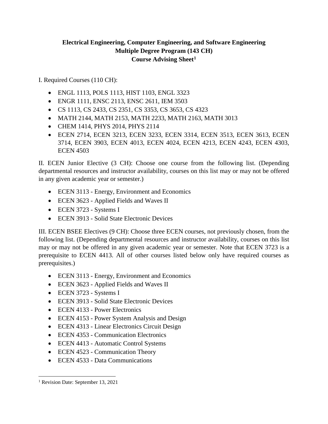## **Electrical Engineering, Computer Engineering, and Software Engineering Multiple Degree Program (143 CH) Course Advising Sheet1**

I. Required Courses (110 CH):

- ENGL 1113, POLS 1113, HIST 1103, ENGL 3323
- ENGR 1111, ENSC 2113, ENSC 2611, IEM 3503
- CS 1113, CS 2433, CS 2351, CS 3353, CS 3653, CS 4323
- MATH 2144, MATH 2153, MATH 2233, MATH 2163, MATH 3013
- CHEM 1414, PHYS 2014, PHYS 2114
- ECEN 2714, ECEN 3213, ECEN 3233, ECEN 3314, ECEN 3513, ECEN 3613, ECEN 3714, ECEN 3903, ECEN 4013, ECEN 4024, ECEN 4213, ECEN 4243, ECEN 4303, ECEN 4503

II. ECEN Junior Elective (3 CH): Choose one course from the following list. (Depending departmental resources and instructor availability, courses on this list may or may not be offered in any given academic year or semester.)

- ECEN 3113 Energy, Environment and Economics
- ECEN 3623 Applied Fields and Waves II
- ECEN 3723 Systems I
- ECEN 3913 Solid State Electronic Devices

III. ECEN BSEE Electives (9 CH): Choose three ECEN courses, not previously chosen, from the following list. (Depending departmental resources and instructor availability, courses on this list may or may not be offered in any given academic year or semester. Note that ECEN 3723 is a prerequisite to ECEN 4413. All of other courses listed below only have required courses as prerequisites.)

- ECEN 3113 Energy, Environment and Economics
- ECEN 3623 Applied Fields and Waves II
- ECEN 3723 Systems I
- ECEN 3913 Solid State Electronic Devices
- ECEN 4133 Power Electronics
- ECEN 4153 Power System Analysis and Design
- ECEN 4313 Linear Electronics Circuit Design
- ECEN 4353 Communication Electronics
- ECEN 4413 Automatic Control Systems
- ECEN 4523 Communication Theory
- ECEN 4533 Data Communications

 $\overline{a}$ 

<sup>&</sup>lt;sup>1</sup> Revision Date: September 13, 2021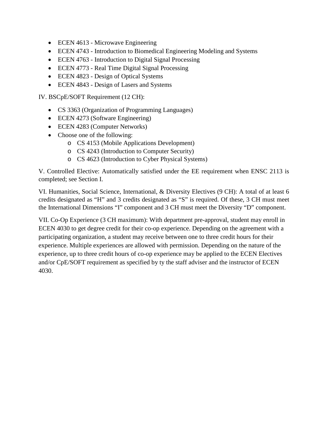- ECEN 4613 Microwave Engineering
- ECEN 4743 Introduction to Biomedical Engineering Modeling and Systems
- ECEN 4763 Introduction to Digital Signal Processing
- ECEN 4773 Real Time Digital Signal Processing
- ECEN 4823 Design of Optical Systems
- ECEN 4843 Design of Lasers and Systems

IV. BSCpE/SOFT Requirement (12 CH):

- CS 3363 (Organization of Programming Languages)
- ECEN 4273 (Software Engineering)
- ECEN 4283 (Computer Networks)
- Choose one of the following:
	- o CS 4153 (Mobile Applications Development)
	- o CS 4243 (Introduction to Computer Security)
	- o CS 4623 (Introduction to Cyber Physical Systems)

V. Controlled Elective: Automatically satisfied under the EE requirement when ENSC 2113 is completed; see Section I.

VI. Humanities, Social Science, International, & Diversity Electives (9 CH): A total of at least 6 credits designated as "H" and 3 credits designated as "S" is required. Of these, 3 CH must meet the International Dimensions "I" component and 3 CH must meet the Diversity "D" component.

VII. Co-Op Experience (3 CH maximum): With department pre-approval, student may enroll in ECEN 4030 to get degree credit for their co-op experience. Depending on the agreement with a participating organization, a student may receive between one to three credit hours for their experience. Multiple experiences are allowed with permission. Depending on the nature of the experience, up to three credit hours of co-op experience may be applied to the ECEN Electives and/or CpE/SOFT requirement as specified by ty the staff adviser and the instructor of ECEN 4030.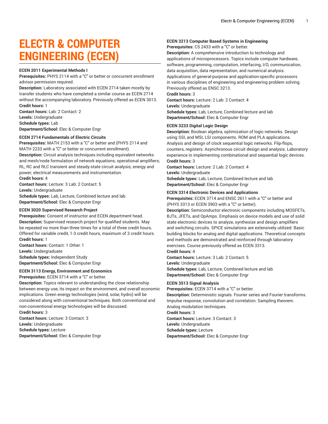## **ELECTR & COMPUTER ENGINEERING (ECEN)**

#### **ECEN 2011 Experimental Methods I**

**Prerequisites:** PHYS 2114 with a "C" or better or concurrent enrollment advisor permission required.

**Description:** Laboratory associated with ECEN 2714 taken mostly by transfer students who have completed a similar course as ECEN 2714 without the accompanying laboratory. Previously offered as ECEN 3013. **Credit hours:** 1

**Contact hours:** Lab: 2 Contact: 2 **Levels:** Undergraduate **Schedule types:** Lab **Department/School:** Elec & Computer Engr

### **ECEN 2714 Fundamentals of Electric Circuits**

**Prerequisites:** MATH 2153 with a "C" or better and (PHYS 2114 and MATH 2233 with a "C" or better or concurrent enrollment). **Description:** Circuit analysis techniques including equivalent networks and mesh/node formulation of network equations; operational amplifiers; RL, RC and RLC transient and steady-state circuit analysis; energy and power; electrical measurements and instrumentation.

**Credit hours:** 4

**Contact hours:** Lecture: 3 Lab: 2 Contact: 5 **Levels:** Undergraduate **Schedule types:** Lab, Lecture, Combined lecture and lab **Department/School:** Elec & Computer Engr

#### **ECEN 3020 Supervised Research Project**

**Prerequisites:** Consent of instructor and ECEN department head. **Description:** Supervised research project for qualified students. May be repeated no more than three times for a total of three credit hours. Offered for variable credit, 1-3 credit hours, maximum of 3 credit hours. **Credit hours:** 1

**Contact hours:** Contact: 1 Other: 1 **Levels:** Undergraduate **Schedule types:** Independent Study **Department/School:** Elec & Computer Engr

#### **ECEN 3113 Energy, Environment and Economics**

**Prerequisites:** ECEN 3714 with a "C" or better.

**Description:** Topics relevant to understanding the close relationship between energy use, its impact on the environment, and overall economic implications. Green energy technologies (wind, solar, hydro) will be considered along with conventional techniques. Both conventional and non-conventional energy technologies will be discussed.

**Credit hours:** 3 **Contact hours:** Lecture: 3 Contact: 3 **Levels:** Undergraduate **Schedule types:** Lecture **Department/School:** Elec & Computer Engr

#### **ECEN 3213 Computer Based Systems in Engineering**

**Prerequisites:** CS 2433 with a "C" or better.

**Description:** A comprehensive introduction to technology and applications of microprocessors. Topics include computer hardware, software, programming, computation, interfacing, I/O, communication, data acquisition, data representation, and numerical analysis. Applications of general-purpose and application-specific processors in various disciplines of engineering and engineering problem solving. Previously offered as ENSC 3213.

**Credit hours:** 3

**Contact hours:** Lecture: 2 Lab: 2 Contact: 4 **Levels:** Undergraduate **Schedule types:** Lab, Lecture, Combined lecture and lab **Department/School:** Elec & Computer Engr

#### **ECEN 3233 Digital Logic Design**

**Description:** Boolean algebra, optimization of logic networks. Design using SSI, and MSI, LSI components. ROM and PLA applications. Analysis and design of clock sequential logic networks. Flip-flops, counters, registers. Asynchronous circuit design and analysis. Laboratory experience in implementing combinational and sequential logic devices. **Credit hours:** 3

**Contact hours:** Lecture: 2 Lab: 2 Contact: 4 **Levels:** Undergraduate **Schedule types:** Lab, Lecture, Combined lecture and lab **Department/School:** Elec & Computer Engr

#### **ECEN 3314 Electronic Devices and Applications**

**Prerequisites:** ECEN 3714 and ENSC 2611 with a "C" or better and (PHYS 3313 or ECEN 3903 with a "C" or better).

**Description:** Semiconductor electronic components including MOSFETs, BJTs, JFETs, and OpAmps. Emphasis on device models and use of solid state electronic devices to analyze, synthesize and design amplifiers and switching circuits. SPICE simulations are extensively utilized. Basic building blocks for analog and digital applications. Theoretical concepts and methods are demonstrated and reinforced through laboratory exercises. Course previously offered as ECEN 3313.

**Credit hours:** 4

**Contact hours:** Lecture: 3 Lab: 2 Contact: 5 **Levels:** Undergraduate **Schedule types:** Lab, Lecture, Combined lecture and lab **Department/School:** Elec & Computer Engr

#### **ECEN 3513 Signal Analysis**

**Prerequisites:** ECEN 3714 with a "C" or better. **Description:** Deterministic signals. Fourier series and Fourier transforms. Impulse response, convolution and correlation. Sampling theorem. Analog modulation techniques. **Credit hours:** 3

**Contact hours:** Lecture: 3 Contact: 3 **Levels:** Undergraduate **Schedule types:** Lecture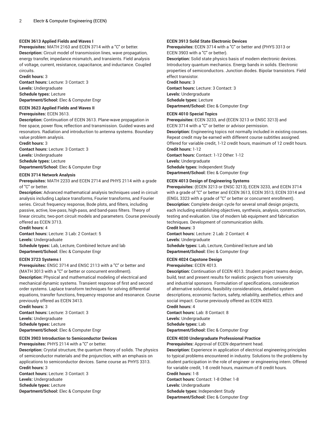#### **ECEN 3613 Applied Fields and Waves I**

**Prerequisites:** MATH 2163 and ECEN 3714 with a "C" or better. **Description:** Circuit model of transmission lines, wave propagation, energy transfer, impedance mismatch, and transients. Field analysis of voltage, current, resistance, capacitance, and inductance. Coupled circuits.

**Credit hours:** 3 **Contact hours:** Lecture: 3 Contact: 3 **Levels:** Undergraduate

**Schedule types:** Lecture **Department/School:** Elec & Computer Engr

## **ECEN 3623 Applied Fields and Waves II**

#### **Prerequisites:** ECEN 3613.

**Description:** Continuation of ECEN 3613. Plane-wave propagation in free space, power flow, reflection and transmission. Guided waves and resonators. Radiation and introduction to antenna systems. Boundary value problem analysis.

**Credit hours:** 3

**Contact hours:** Lecture: 3 Contact: 3 **Levels:** Undergraduate **Schedule types:** Lecture

**Department/School:** Elec & Computer Engr

#### **ECEN 3714 Network Analysis**

**Prerequisites:** MATH 2233 and ECEN 2714 and PHYS 2114 with a grade of "C" or better.

**Description:** Advanced mathematical analysis techniques used in circuit analysis including Laplace transforms, Fourier transforms, and Fourier series. Circuit frequency response, Bode plots, and filters, including passive, active, low-pass, high-pass, and band-pass filters. Theory of linear circuits; two-port circuit models and parameters. Course previously offered as ECEN 3713.

**Credit hours:** 4

**Contact hours:** Lecture: 3 Lab: 2 Contact: 5 **Levels:** Undergraduate

**Schedule types:** Lab, Lecture, Combined lecture and lab **Department/School:** Elec & Computer Engr

#### **ECEN 3723 Systems I**

**Prerequisites:** ENSC 3714 and ENSC 2113 with a "C" or better and (MATH 3013 with a "C" or better or concurrent enrollment). **Description:** Physical and mathematical modeling of electrical and mechanical dynamic systems. Transient response of first and second order systems. Laplace transform techniques for solving differential equations, transfer functions, frequency response and resonance. Course

previously offered as ECEN 3413. **Credit hours:** 3 **Contact hours:** Lecture: 3 Contact: 3 **Levels:** Undergraduate **Schedule types:** Lecture **Department/School:** Elec & Computer Engr

#### **ECEN 3903 Introduction to Semiconductor Devices**

**Prerequisites:** PHYS 2114 with a "C" or better.

**Description:** Crystal structure, the quantum theory of solids. The physics of semiconductor materials and the projunction, with an emphasis on applications to semiconductor devices. Same course as PHYS 3313. **Credit hours:** 3

**Contact hours:** Lecture: 3 Contact: 3 **Levels:** Undergraduate **Schedule types:** Lecture **Department/School:** Elec & Computer Engr

#### **ECEN 3913 Solid State Electronic Devices**

**Prerequisites:** ECEN 3714 with a "C" or better and (PHYS 3313 or ECEN 3903 with a "C" or better).

**Description:** Solid state physics basis of modern electronic devices. Introductory quantum mechanics. Energy bands in solids. Electronic properties of semiconductors. Junction diodes. Bipolar transistors. Field effect transistor.

#### **Credit hours:** 3

**Contact hours:** Lecture: 3 Contact: 3 **Levels:** Undergraduate **Schedule types:** Lecture **Department/School:** Elec & Computer Engr

#### **ECEN 4010 Special Topics**

**Prerequisites:** ECEN 3233, and (ECEN 3213 or ENSC 3213) and ECEN 3714 with a "C" or better or advisor permission.

**Description:** Engineering topics not normally included in existing courses. Repeat credit may be earned with different course subtitles assigned. Offered for variable credit, 1-12 credit hours, maximum of 12 credit hours. **Credit hours:** 1-12 **Contact hours:** Contact: 1-12 Other: 1-12 **Levels:** Undergraduate

**Schedule types:** Independent Study

**Department/School:** Elec & Computer Engr

#### **ECEN 4013 Design of Engineering Systems**

**Prerequisites:** (ECEN 3213 or ENSC 3213), ECEN 3233, and ECEN 3714 with a grade of "C" or better and ECEN 3613, ECEN 3513, ECEN 3314 and (ENGL 3323 with a grade of "C" or better or concurrent enrollment). **Description:** Complete design cycle for several small design projects, each including establishing objectives, synthesis, analysis, construction, testing and evaluation. Use of modern lab equipment and fabrication techniques. Development of communication skills.

**Credit hours:** 3

**Contact hours:** Lecture: 2 Lab: 2 Contact: 4

**Levels:** Undergraduate

**Schedule types:** Lab, Lecture, Combined lecture and lab **Department/School:** Elec & Computer Engr

#### **ECEN 4024 Capstone Design**

**Prerequisites:** ECEN 4013.

**Description:** Continuation of ECEN 4013. Student project teams design, build, test and present results for realistic projects from university and industrial sponsors. Formulation of specifications, consideration of alternative solutions, feasibility considerations, detailed system descriptions, economic factors, safety, reliability, aesthetics, ethics and social impact. Course previously offered as ECEN 4023.

**Credit hours:** 4

**Contact hours:** Lab: 8 Contact: 8 **Levels:** Undergraduate **Schedule types:** Lab **Department/School:** Elec & Computer Engr

#### **ECEN 4030 Undergraduate Professional Practice**

**Prerequisites:** Approval of ECEN department head.

**Description:** Experience in application of electrical engineering principles to typical problems encountered in industry. Solutions to the problems by student participation in the role of engineer or engineering intern. Offered for variable credit, 1-8 credit hours, maximum of 8 credit hours.

**Credit hours:** 1-8 **Contact hours:** Contact: 1-8 Other: 1-8

**Levels:** Undergraduate **Schedule types:** Independent Study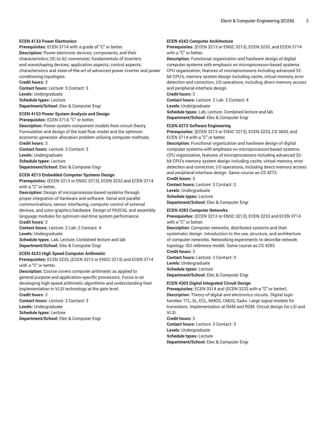#### **ECEN 4133 Power Electronics**

**Prerequisites:** ECEN 3714 with a grade of "C" or better. **Description:** Power electronic devices, components, and their characteristics; DC to AC conversion; fundamentals of inverters and waveshaping devices; application aspects; control aspects; characteristics and state-of-the-art of advanced power inverter and power conditioning topologies.

**Credit hours:** 3 **Contact hours:** Lecture: 3 Contact: 3 **Levels:** Undergraduate **Schedule types:** Lecture

**Department/School:** Elec & Computer Engr

## **ECEN 4153 Power System Analysis and Design**

**Prerequisites:** ECEN 3714, "C" or better.

**Description:** Power system component models from circuit theory. Formulation and design of the load flow model and the optimum economic generator allocation problem utilizing computer methods. **Credit hours:** 3

**Contact hours:** Lecture: 3 Contact: 3 **Levels:** Undergraduate **Schedule types:** Lecture **Department/School:** Elec & Computer Engr

#### **ECEN 4213 Embedded Computer Systems Design**

**Prerequisites:** (ECEN 3213 or ENSC 3213), ECEN 3233 and ECEN 3714 with a "C" or better.

**Description:** Design of microprocessor-based systems through proper integration of hardware and software. Serial and parallel communications, sensor interfacing, computer control of external devices, and color graphics hardware. Design of PASCAL and assembly language modules for optimum real-time system performance. **Credit hours:** 3

**Contact hours:** Lecture: 2 Lab: 2 Contact: 4 **Levels:** Undergraduate **Schedule types:** Lab, Lecture, Combined lecture and lab **Department/School:** Elec & Computer Engr

#### **ECEN 4233 High Speed Computer Arithmetic**

**Prerequisites:** ECEN 3233, (ECEN 3213 or ENSC 3213) and ECEN 3714 with a "C" or better.

**Description:** Course covers computer arithmetic as applied to general purpose and application-specific processors. Focus is on developing high-speed arithmetic algorithms and understanding their implementation in VLSI technology at the gate level.

**Credit hours:** 3 **Contact hours:** Lecture: 3 Contact: 3 **Levels:** Undergraduate

**Schedule types:** Lecture

**Department/School:** Elec & Computer Engr

#### **ECEN 4243 Computer Architecture**

**Prerequisites:** (ECEN 3213 or ENSC 3213), ECEN 3233, and ECEN 3714 with a "C" or better.

**Description:** Functional organization and hardware design of digital computer systems with emphasis on microprocessor-based systems. CPU organization, features of microprocessors including advanced 32 bit CPU's, memory system design including cache, virtual memory, error detection and correction, I/O operations, including direct memory access and peripheral interface design.

**Credit hours:** 3 **Contact hours:** Lecture: 2 Lab: 2 Contact: 4

**Levels:** Undergraduate

**Schedule types:** Lab, Lecture, Combined lecture and lab **Department/School:** Elec & Computer Engr

#### **ECEN 4273 Software Engineering**

**Prerequisites:** (ECEN 3213 or ENSC 3213), ECEN 3233, CS 3653, and ECEN 3714 with a "C" or better.

**Description:** Functional organization and hardware design of digital computer systems with emphasis on microprocessor-based systems. CPU organization, features of microprocessors including advanced 32 bit CPU's memory system design including cache, virtual memory, error detection and correction, I/O operations, including direct memory access and peripheral interface design. Same course as CS 4273.

**Credit hours:** 3

**Contact hours:** Lecture: 3 Contact: 3 **Levels:** Undergraduate **Schedule types:** Lecture **Department/School:** Elec & Computer Engr

#### **ECEN 4283 Computer Networks**

**Prerequisites:** (ECEN 3213 or ENSC 3213), ECEN 3233 and ECEN 3714 with a "C" or better.

**Description:** Computer networks, distributed systems and their systematic design. Introduction to the use, structure, and architecture of computer networks. Networking experiments to describe network topology. ISO reference model. Same course as CS 4283. **Credit hours:** 3

**Contact hours:** Lecture: 3 Contact: 3 **Levels:** Undergraduate **Schedule types:** Lecture **Department/School:** Elec & Computer Engr

#### **ECEN 4303 Digital Integrated Circuit Design**

**Prerequisites:** ECEN 3314 and (ECEN 3233 with a "C" or better). **Description:** Theory of digital and electronics circuits. Digital logic families TTL, IIL, ECL, NMOS, CMOS, GaAs. Large signal models for transistors. Implementation at RAM and ROM. Circuit design for LSI and VLSI.

**Credit hours:** 3 **Contact hours:** Lecture: 3 Contact: 3 **Levels:** Undergraduate **Schedule types:** Lecture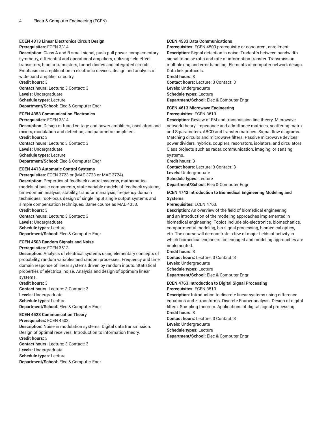#### **ECEN 4313 Linear Electronics Circuit Design**

#### **Prerequisites:** ECEN 3314.

**Description:** Class A and B small-signal, push-pull power, complementary symmetry, differential and operational amplifiers, utilizing field-effect transistors, bipolar transistors, tunnel diodes and integrated circuits. Emphasis on amplification in electronic devices, design and analysis of wide-band amplifier circuitry.

**Credit hours:** 3

**Contact hours:** Lecture: 3 Contact: 3 **Levels:** Undergraduate **Schedule types:** Lecture

**Department/School:** Elec & Computer Engr

#### **ECEN 4353 Communication Electronics**

**Prerequisites:** ECEN 3314.

**Description:** Design of tuned voltage and power amplifiers, oscillators and mixers, modulation and detection, and parametric amplifiers. **Credit hours:** 3

**Contact hours:** Lecture: 3 Contact: 3

**Levels:** Undergraduate

**Schedule types:** Lecture

**Department/School:** Elec & Computer Engr

#### **ECEN 4413 Automatic Control Systems**

**Prerequisites:** ECEN 3723 or (MAE 3723 or MAE 3724).

**Description:** Properties of feedback control systems, mathematical models of basic components, state-variable models of feedback systems, time-domain analysis, stability, transform analysis, frequency domain techniques, root-locus design of single input single output systems and simple compensation techniques. Same course as MAE 4053.

**Credit hours:** 3

**Contact hours:** Lecture: 3 Contact: 3 **Levels:** Undergraduate **Schedule types:** Lecture **Department/School:** Elec & Computer Engr

#### **ECEN 4503 Random Signals and Noise**

#### **Prerequisites:** ECEN 3513.

**Description:** Analysis of electrical systems using elementary concepts of probability, random variables and random processes. Frequency and time domain response of linear systems driven by random inputs. Statistical properties of electrical noise. Analysis and design of optimum linear systems.

**Credit hours:** 3

**Contact hours:** Lecture: 3 Contact: 3 **Levels:** Undergraduate **Schedule types:** Lecture **Department/School:** Elec & Computer Engr

#### **ECEN 4523 Communication Theory**

**Prerequisites:** ECEN 4503.

Design of optimal receivers. Introduction to information theory. **Credit hours:** 3 **Contact hours:** Lecture: 3 Contact: 3 **Levels:** Undergraduate **Schedule types:** Lecture

**Description:** Noise in modulation systems. Digital data transmission.

**Department/School:** Elec & Computer Engr

#### **ECEN 4533 Data Communications**

**Prerequisites:** ECEN 4503 prerequisite or concurrent enrollment. **Description:** Signal detection in noise. Tradeoffs between bandwidth signal-to-noise ratio and rate of information transfer. Transmission multiplexing and error handling. Elements of computer network design. Data link protocols.

**Credit hours:** 3 **Contact hours:** Lecture: 3 Contact: 3 **Levels:** Undergraduate **Schedule types:** Lecture **Department/School:** Elec & Computer Engr

#### **ECEN 4613 Microwave Engineering**

#### **Prerequisites:** ECEN 3613.

**Description:** Review of EM and transmission line theory. Microwave network theory: Impedance and admittance matrices, scattering matrix and S-parameters, ABCD and transfer matrices. Signal-flow diagrams. Matching circuits and microwave filters. Passive microwave devices: power dividers, hybrids, couplers, resonators, isolators, and circulators. Class projects such as radar, communication, imaging, or sensing systems.

**Credit hours:** 3

**Contact hours:** Lecture: 3 Contact: 3 **Levels:** Undergraduate

**Schedule types:** Lecture

**Department/School:** Elec & Computer Engr

#### **ECEN 4743 Introduction to Biomedical Engineering Modeling and Systems**

**Prerequisites:** ECEN 4763.

**Description:** An overview of the field of biomedical engineering and an introduction of the modeling approaches implemented in biomedical engineering. Topics include bio-electronics, biomechanics, compartmental modeling, bio-signal processing, biomedical optics, etc. The course will demonstrate a few of major fields of activity in which biomedical engineers are engaged and modeling approaches are implemented.

**Credit hours:** 3

**Contact hours:** Lecture: 3 Contact: 3 **Levels:** Undergraduate **Schedule types:** Lecture **Department/School:** Elec & Computer Engr

#### **ECEN 4763 Introduction to Digital Signal Processing**

**Prerequisites:** ECEN 3513.

**Description:** Introduction to discrete linear systems using difference equations and z-transforms. Discrete Fourier analysis. Design of digital filters. Sampling theorem. Applications of digital signal processing. **Credit hours:** 3 **Contact hours:** Lecture: 3 Contact: 3

**Levels:** Undergraduate **Schedule types:** Lecture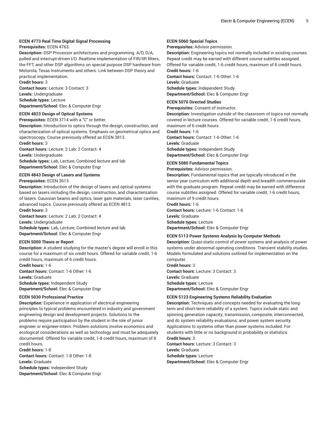#### **ECEN 4773 Real Time Digital Signal Processing**

**Prerequisites:** ECEN 4763.

**Description:** DSP Processor architectures and programming. A/D, D/A, polled and interrupt-driven I/O. Realtime implementation of FIR/IIR filters, the FFT, and other DSP algorithms on special purpose DSP hardware from Motorola, Texas Instruments and others. Link between DSP theory and practical implementation.

**Credit hours:** 3

**Contact hours:** Lecture: 3 Contact: 3 **Levels:** Undergraduate **Schedule types:** Lecture

**Department/School:** Elec & Computer Engr

#### **ECEN 4823 Design of Optical Systems**

**Prerequisites:** ECEN 3714 with a "C" or better.

**Description:** Introduction to optics through the design, construction, and characterization of optical systems. Emphasis on geometrical optics and spectroscopy. Course previously offered as ECEN 3813.

**Credit hours:** 3

**Contact hours:** Lecture: 2 Lab: 2 Contact: 4 **Levels:** Undergraduate **Schedule types:** Lab, Lecture, Combined lecture and lab **Department/School:** Elec & Computer Engr

**ECEN 4843 Design of Lasers and Systems**

**Prerequisites:** ECEN 3613.

**Description:** Introduction of the design of lasers and optical systems based on lasers including the design, construction, and characterization of lasers. Gaussian beams and optics, laser gain materials, laser cavities, advanced topics. Course previously offered as ECEN 4813.

**Credit hours:** 3

**Contact hours:** Lecture: 2 Lab: 2 Contact: 4

**Levels:** Undergraduate

**Schedule types:** Lab, Lecture, Combined lecture and lab **Department/School:** Elec & Computer Engr

#### **ECEN 5000 Thesis or Report**

**Description:** A student studying for the master's degree will enroll in this course for a maximum of six credit hours. Offered for variable credit, 1-6 credit hours, maximum of 6 credit hours.

**Credit hours:** 1-6

**Contact hours:** Contact: 1-6 Other: 1-6 **Levels:** Graduate **Schedule types:** Independent Study **Department/School:** Elec & Computer Engr

#### **ECEN 5030 Professional Practice**

**Description:** Experience in application of electrical engineering principles to typical problems encountered in industry and government engineering design and development projects. Solutions to the problems require participation by the student in the role of junior engineer or engineer-intern. Problem solutions involve economics and ecological considerations as well as technology and must be adequately documented. Offered for variable credit, 1-8 credit hours, maximum of 8 credit hours.

**Credit hours:** 1-8 **Contact hours:** Contact: 1-8 Other: 1-8 **Levels:** Graduate

**Schedule types:** Independent Study **Department/School:** Elec & Computer Engr

#### **ECEN 5060 Special Topics**

**Prerequisites:** Advisor permission.

**Description:** Engineering topics not normally included in existing courses. Repeat credit may be earned with different course subtitles assigned. Offered for variable credit, 1-6 credit hours, maximum of 6 credit hours. **Credit hours:** 1-6 **Contact hours:** Contact: 1-6 Other: 1-6 **Levels:** Graduate **Schedule types:** Independent Study **Department/School:** Elec & Computer Engr

#### **ECEN 5070 Directed Studies**

**Prerequisites:** Consent of instructor.

**Description:** Investigation outside of the classroom of topics not normally covered in lecture courses. Offered for variable credit, 1-6 credit hours, maximum of 6 credit hours.

**Credit hours:** 1-6

**Contact hours:** Contact: 1-6 Other: 1-6 **Levels:** Graduate **Schedule types:** Independent Study **Department/School:** Elec & Computer Engr

#### **ECEN 5080 Fundamental Topics**

**Prerequisites:** Advisor permission.

**Description:** Fundamental topics that are typically introduced in the senior year curriculum with additional depth and breadth commensurate with the graduate program. Repeat credit may be earned with difference course subtitles assigned. Offered for variable credit, 1-6 credit hours, maximum of 9 credit hours.

#### **Credit hours:** 1-6

**Contact hours:** Lecture: 1-6 Contact: 1-6 **Levels:** Graduate **Schedule types:** Lecture **Department/School:** Elec & Computer Engr

#### **ECEN 5113 Power Systems Analysis by Computer Methods**

**Description:** Quasi-static control of power systems and analysis of power systems under abnormal operating conditions. Transient stability studies. Models formulated and solutions outlined for implementation on the computer.

**Credit hours:** 3 **Contact hours:** Lecture: 3 Contact: 3 **Levels:** Graduate **Schedule types:** Lecture **Department/School:** Elec & Computer Engr

#### **ECEN 5123 Engineering Systems Reliability Evaluation**

**Description:** Techniques and concepts needed for evaluating the longterm and short-term reliability of a system. Topics include static and spinning generation capacity; transmission, composite, interconnected, and dc system reliability evaluations; and power system security. Applications to systems other than power systems included. For students with little or no background in probability or statistics. **Credit hours:** 3 **Contact hours:** Lecture: 3 Contact: 3

**Levels:** Graduate

**Schedule types:** Lecture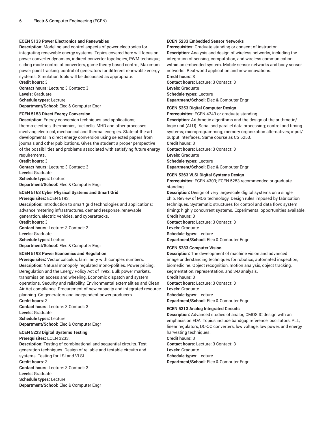#### **ECEN 5133 Power Electronics and Renewables**

**Description:** Modeling and control aspects of power electronics for integrating renewable energy systems. Topics covered here will focus on power converter dynamics, indirect converter topologies, PWM technique, sliding mode control of converters, game theory based control, Maximum power point tracking, control of generators for different renewable energy systems. Simulation tools will be discussed as appropriate.

**Credit hours:** 3 **Contact hours:** Lecture: 3 Contact: 3 **Levels:** Graduate **Schedule types:** Lecture **Department/School:** Elec & Computer Engr

#### **ECEN 5153 Direct Energy Conversion**

**Description:** Energy conversion techniques and applications; thermo-electrics, thermionics, fuel cells, MHD and other processes involving electrical, mechanical and thermal energies. State-of-the-art developments in direct energy conversion using selected papers from journals and other publications. Gives the student a proper perspective of the possibilities and problems associated with satisfying future energy requirements.

**Credit hours:** 3 **Contact hours:** Lecture: 3 Contact: 3 **Levels:** Graduate **Schedule types:** Lecture **Department/School:** Elec & Computer Engr

#### **ECEN 5163 Cyber Physical Systems and Smart Grid**

**Prerequisites:** ECEN 5193.

**Description:** Introduction to smart grid technologies and applications; advance metering infrastructures, demand response, renewable generation, electric vehicles, and cyberattacks. **Credit hours:** 3 **Contact hours:** Lecture: 3 Contact: 3

**Levels:** Graduate **Schedule types:** Lecture **Department/School:** Elec & Computer Engr

#### **ECEN 5193 Power Economics and Regulation**

**Prerequisites:** Vector calculus, familiarity with complex numbers. **Description:** Natural monopoly, regulated mono-polities. Power pricing. Deregulation and the Energy Policy Act of 1992. Bulk power markets, transmission access and wheeling. Economic dispatch and system operations. Security and reliability. Environmental externalities and Clean Air Act compliance. Procurement of new capacity and integrated resource planning. Co-generators and independent power producers. **Credit hours:** 3

**Contact hours:** Lecture: 3 Contact: 3 **Levels:** Graduate **Schedule types:** Lecture **Department/School:** Elec & Computer Engr

#### **ECEN 5223 Digital Systems Testing**

**Prerequisites:** ECEN 3233.

**Description:** Testing of combinational and sequential circuits. Test generation techniques. Design of reliable and testable circuits and systems. Testing for LSI and VLSI.

**Credit hours:** 3

**Contact hours:** Lecture: 3 Contact: 3 **Levels:** Graduate **Schedule types:** Lecture

**Department/School:** Elec & Computer Engr

#### **ECEN 5233 Embedded Sensor Networks**

**Prerequisites:** Graduate standing or consent of instructor. **Description:** Analysis and design of wireless networks, including the integration of sensing, computation, and wireless communication within an embedded system. Mobile sensor networks and body sensor networks. Real world application and new innovations. **Credit hours:** 3

**Contact hours:** Lecture: 3 Contact: 3 **Levels:** Graduate **Schedule types:** Lecture **Department/School:** Elec & Computer Engr

#### **ECEN 5253 Digital Computer Design**

**Prerequisites:** ECEN 4243 or graduate standing.

**Description:** Arithmetic algorithms and the design of the arithmetic/ logic unit (ALU). Serial and parallel data processing; control and timing systems; microprogramming; memory organization alternatives; input/ output interfaces. Same course as CS 5253. **Credit hours:** 3

**Contact hours:** Lecture: 3 Contact: 3 **Levels:** Graduate **Schedule types:** Lecture

**Department/School:** Elec & Computer Engr

#### **ECEN 5263 VLSI Digital Systems Design**

**Prerequisites:** ECEN 4303; ECEN 5253 recommended or graduate standing.

**Description:** Design of very large-scale digital systems on a single chip. Review of MOS technology. Design rules imposed by fabrication techniques. Systematic structures for control and data flow; system timing; highly concurrent systems. Experimental opportunities available. **Credit hours:** 3

**Contact hours:** Lecture: 3 Contact: 3 **Levels:** Graduate **Schedule types:** Lecture **Department/School:** Elec & Computer Engr

#### **ECEN 5283 Computer Vision**

**Description:** The development of machine vision and advanced image understanding techniques for robotics, automated inspection, biomedicine. Object recognition, motion analysis, object tracking, segmentation, representation, and 3-D analysis.

**Credit hours:** 3

**Contact hours:** Lecture: 3 Contact: 3 **Levels:** Graduate **Schedule types:** Lecture **Department/School:** Elec & Computer Engr

#### **ECEN 5313 Analog Integrated Circuits**

**Description:** Advanced studies of analog CMOS IC design with an emphasis on EDA. Topics include bandgap reference, oscillators, PLL, linear regulators, DC-OC converters, low voltage, low power, and energy harvesting techniques. **Credit hours:** 3

**Contact hours:** Lecture: 3 Contact: 3 **Levels:** Graduate **Schedule types:** Lecture **Department/School:** Elec & Computer Engr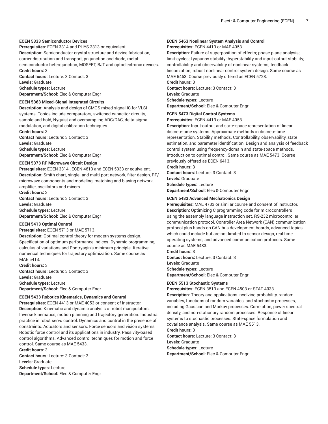#### **ECEN 5333 Semiconductor Devices**

**Prerequisites:** ECEN 3314 and PHYS 3313 or equivalent. **Description:** Semiconductor crystal structure and device fabrication, carrier distribution and transport, pn junction and diode, metalsemiconductor heterojunction, MOSFET, BJT and optoelectronic devices. **Credit hours:** 3

**Contact hours:** Lecture: 3 Contact: 3 **Levels:** Graduate

**Schedule types:** Lecture **Department/School:** Elec & Computer Engr

#### **ECEN 5363 Mixed-Signal Integrated Circuits**

**Description:** Analysis and design of CMOS mixed-signal IC for VLSI systems. Topics include comparators, switched-capacitor circuits, sample-and-hold, Nyquist and oversampling ADC/DAC, delta-sigma modulation, and digital calibration techniques.

**Credit hours:** 3 **Contact hours:** Lecture: 3 Contact: 3 **Levels:** Graduate **Schedule types:** Lecture **Department/School:** Elec & Computer Engr

#### **ECEN 5373 RF Microwave Circuit Design**

**Prerequisites:** ECEN 3314 , ECEN 4613 and ECEN 5333 or equivalent. **Description:** Smith chart, single- and multi-port network, filter design, RF/ microwave components and modeling, matching and biasing network, amplifier, oscillators and mixers.

**Credit hours:** 3 **Contact hours:** Lecture: 3 Contact: 3 **Levels:** Graduate **Schedule types:** Lecture **Department/School:** Elec & Computer Engr

#### **ECEN 5413 Optimal Control**

#### **Prerequisites:** ECEN 5713 or MAE 5713.

**Description:** Optimal control theory for modern systems design. Specification of optimum performance indices. Dynamic programming, calculus of variations and Pontryagin's minimum principle. Iterative numerical techniques for trajectory optimization. Same course as MAE 5413.

**Credit hours:** 3

**Contact hours:** Lecture: 3 Contact: 3 **Levels:** Graduate **Schedule types:** Lecture **Department/School:** Elec & Computer Engr

#### **ECEN 5433 Robotics Kinematics, Dynamics and Control**

**Prerequisites:** ECEN 4413 or MAE 4053 or consent of instructor. **Description:** Kinematic and dynamic analysis of robot manipulators. Inverse kinematics, motion planning and trajectory generation. Industrial practice in robot servo control. Dynamics and control in the presence of constraints. Actuators and sensors. Force sensors and vision systems. Robotic force control and its applications in industry. Passivity-based control algorithms. Advanced control techniques for motion and force control. Same course as MAE 5433.

**Credit hours:** 3

**Contact hours:** Lecture: 3 Contact: 3 **Levels:** Graduate **Schedule types:** Lecture **Department/School:** Elec & Computer Engr

#### **ECEN 5463 Nonlinear System Analysis and Control**

**Prerequisites:** ECEN 4413 or MAE 4053.

**Description:** Failure of superposition of effects; phase-plane analysis; limit-cycles; Lyapunov stability; hyperstability and input-output stability; controllability and observability of nonlinear systems; feedback linearization; robust nonlinear control system design. Same course as MAE 5463. Course previously offered as ECEN 5723.

#### **Credit hours:** 3

**Contact hours:** Lecture: 3 Contact: 3 **Levels:** Graduate **Schedule types:** Lecture **Department/School:** Elec & Computer Engr

#### **ECEN 5473 Digital Control Systems**

**Prerequisites:** ECEN 4413 or MAE 4053.

**Description:** Input-output and state-space representation of linear discrete-time systems. Approximate methods in discrete-time representation. Stability methods. Controllability, observability, state estimation, and parameter identification. Design and analysis of feedback control system using frequency-domain and state-space methods. Introduction to optimal control. Same course as MAE 5473. Course previously offered as ECEN 6413.

**Credit hours:** 3

**Contact hours:** Lecture: 3 Contact: 3

**Levels:** Graduate

**Schedule types:** Lecture

**Department/School:** Elec & Computer Engr

#### **ECEN 5483 Advanced Mechatronics Design**

**Prerequisites:** MAE 4733 or similar course and consent of instructor. **Description:** Optimizing C programming code for microcontrollers using the assembly language instruction set. RS-232 microcontroller communication protocol. Controller Area Network (CAN) communication protocol plus hands-on CAN bus development boards, advanced topics which could include but are not limited to sensor design, real time operating systems, and advanced communication protocols. Same course as MAE 5483.

**Credit hours:** 3 **Contact hours:** Lecture: 3 Contact: 3 **Levels:** Graduate **Schedule types:** Lecture **Department/School:** Elec & Computer Engr

#### **ECEN 5513 Stochastic Systems**

**Prerequisites:** ECEN 3513 and ECEN 4503 or STAT 4033. **Description:** Theory and applications involving probability, random variables, functions of random variables, and stochastic processes, including Gaussian and Markov processes. Correlation, power spectral density, and non-stationary random processes. Response of linear systems to stochastic processes. State-space formulation and covariance analysis. Same course as MAE 5513.

#### **Credit hours:** 3

**Contact hours:** Lecture: 3 Contact: 3 **Levels:** Graduate **Schedule types:** Lecture **Department/School:** Elec & Computer Engr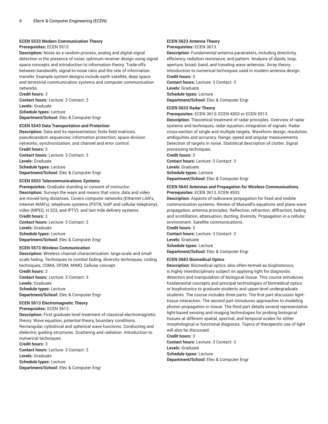#### **ECEN 5533 Modern Communication Theory**

#### **Prerequisites:** ECEN 5513.

**Description:** Noise as a random process, analog and digital signal detection in the presence of noise, optimum receiver design using signal space concepts and introduction to information theory. Trade-offs between bandwidth, signal-to-noise ratio and the rate of information transfer. Example system designs include earth satellite, deep space and terrestrial communication systems and computer communication networks.

**Credit hours:** 3 **Contact hours:** Lecture: 3 Contact: 3 **Levels:** Graduate **Schedule types:** Lecture **Department/School:** Elec & Computer Engr

#### **ECEN 5543 Data Transportation and Protection**

**Description:** Data and its representation; finite field matrices, pseudorandom sequences; information protection; space division networks; synchronization; and channel and error control. **Credit hours:** 3

**Contact hours:** Lecture: 3 Contact: 3 **Levels:** Graduate **Schedule types:** Lecture **Department/School:** Elec & Computer Engr

#### **ECEN 5553 Telecommunications Systems**

**Prerequisites:** Graduate standing or consent of instructor. **Description:** Surveys the ways and means that voice, data and video are moved long distances. Covers computer networks (Ethernet LAN's, Internet WAN's); telephone systems (PSTN, VolP and cellular telephony); video (MPEG, H.323, and IPTV); and last mile delivery systems. **Credit hours:** 3

**Contact hours:** Lecture: 3 Contact: 3 **Levels:** Graduate **Schedule types:** Lecture **Department/School:** Elec & Computer Engr

#### **ECEN 5573 Wireless Communication**

**Description:** Wireless channel characterization: large-scale and small scale fading. Techniques to combat fading; diversity techniques, coding techniques, CDMA, OFDM, MIMO. Cellular concept.

**Credit hours:** 3 **Contact hours:** Lecture: 3 Contact: 3 **Levels:** Graduate **Schedule types:** Lecture

**Department/School:** Elec & Computer Engr

#### **ECEN 5613 Electromagnetic Theory**

**Prerequisites:** ECEN 3613.

**Description:** First graduate level treatment of classical electromagnetic theory. Wave equation, potential theory, boundary conditions. Rectangular, cylindrical and spherical wave functions. Conducting and

dielectric guiding structures. Scattering and radiation. Introduction to numerical techniques.

#### **Credit hours:** 3

**Contact hours:** Lecture: 3 Contact: 3 **Levels:** Graduate **Schedule types:** Lecture

**Department/School:** Elec & Computer Engr

#### **ECEN 5623 Antenna Theory**

**Prerequisites:** ECEN 3613.

**Description:** Fundamental antenna parameters, including directivity, efficiency, radiation resistance, and pattern. Analysis of dipole, loop, aperture, broad- band, and traveling wave antennas. Array theory. Introduction to numerical techniques used in modern antenna design. **Credit hours:** 3

**Contact hours:** Lecture: 3 Contact: 3 **Levels:** Graduate **Schedule types:** Lecture **Department/School:** Elec & Computer Engr

#### **ECEN 5633 Radar Theory**

**Prerequisites:** ECEN 3613; ECEN 4503 or ECEN 5513.

**Description:** Theoretical treatment of radar principles. Overview of radar systems and techniques, radar equation, integration of signals. Radar cross-section of single and multiple targets. Waveform design, resolution, ambiguities and accuracy. Range, speed and angular measurements. Detection of targets in noise. Statistical description of clutter. Signal processing techniques.

**Credit hours:** 3

**Contact hours:** Lecture: 3 Contact: 3 **Levels:** Graduate **Schedule types:** Lecture **Department/School:** Elec & Computer Engr

#### **ECEN 5643 Antennas and Propagation for Wireless Communications Prerequisites:** ECEN 3613, ECEN 4503.

**Description:** Aspects of radiowave propagation for fixed and mobile communication systems. Review of Maxwell's equations and plane wave propagation, antenna principles. Reflection, refraction, diffraction, fading and scintillation, attenuation, ducting, diversity. Propagation in a cellular environment. Satellite communications.

**Credit hours:** 3

**Contact hours:** Lecture: 3 Contact: 3 **Levels:** Graduate **Schedule types:** Lecture

**Department/School:** Elec & Computer Engr

#### **ECEN 5683 Biomedical Optics**

**Description:** Biomedical optics, also often termed as biophotonics, is highly interdisciplinary subject on applying light for diagnostic detection and manipulation of biological tissue. This course introduces fundamental concepts and principal technologies of biomedical optics or biophotonics to graduate students and upper-level undergraduate students. The course includes three parts: The first part discusses lighttissue interaction. The second part introduces approaches to modeling photon propagation in tissue. The third part details several representative light-based sensing and imaging technologies for probing biological tissues at different spatial, spectral, and temporal scales for either morphological or functional diagnosis. Topics of therapeutic use of light will also be discussed.

**Credit hours:** 3 **Contact hours:** Lecture: 3 Contact: 3 **Levels:** Graduate **Schedule types:** Lecture **Department/School:** Elec & Computer Engr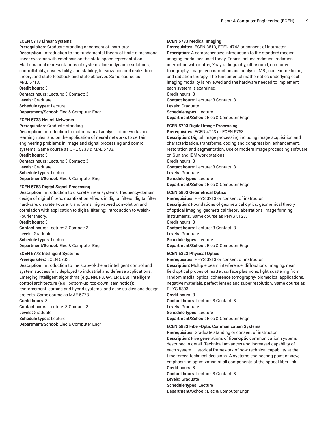#### **ECEN 5713 Linear Systems**

**Prerequisites:** Graduate standing or consent of instructor. **Description:** Introduction to the fundamental theory of finite-dimensional linear systems with emphasis on the state-space representation. Mathematical representations of systems; linear dynamic solutions; controllability, observability, and stability; linearization and realization theory; and state feedback and state observer. Same course as MAE 5713.

**Credit hours:** 3

**Contact hours:** Lecture: 3 Contact: 3 **Levels:** Graduate **Schedule types:** Lecture **Department/School:** Elec & Computer Engr

#### **ECEN 5733 Neural Networks**

**Prerequisites:** Graduate standing.

**Description:** Introduction to mathematical analysis of networks and learning rules, and on the application of neural networks to certain engineering problems in image and signal processing and control systems. Same course as CHE 5733 & MAE 5733. **Credit hours:** 3

**Contact hours:** Lecture: 3 Contact: 3 **Levels:** Graduate **Schedule types:** Lecture **Department/School:** Elec & Computer Engr

#### **ECEN 5763 Digital Signal Processing**

**Description:** Introduction to discrete linear systems; frequency-domain design of digital filters; quantization effects in digital filters; digital filter hardware, discrete Fourier transforms; high-speed convolution and correlation with application to digital filtering; introduction to Walsh-Fourier theory.

**Credit hours:** 3 **Contact hours:** Lecture: 3 Contact: 3 **Levels:** Graduate **Schedule types:** Lecture **Department/School:** Elec & Computer Engr

#### **ECEN 5773 Intelligent Systems**

**Prerequisites:** ECEN 5733.

**Description:** Introduction to the state-of-the art intelligent control and system successfully deployed to industrial and defense applications. Emerging intelligent algorithms (e.g., NN, FS, GA, EP, DES); intelligent control architecture (e.g., bottom-up, top-down, seminotics); reinforcement learning and hybrid systems; and case studies and design

projects. Same course as MAE 5773.

**Credit hours:** 3

**Contact hours:** Lecture: 3 Contact: 3 **Levels:** Graduate **Schedule types:** Lecture

**Department/School:** Elec & Computer Engr

#### **ECEN 5783 Medical Imaging**

**Prerequisites:** ECEN 3513, ECEN 4743 or consent of instructor. **Description:** A comprehensive introduction to the standard medical imaging modalities used today. Topics include radiation, radiationinteraction with matter, X-ray radiography, ultrasound, computer topography, image reconstruction and analysis, MRI, nuclear medicine, and radiation therapy. The fundamental mathematics underlying each imaging modality is reviewed and the hardware needed to implement each system is examined. **Credit hours:** 3

**Contact hours:** Lecture: 3 Contact: 3 **Levels:** Graduate **Schedule types:** Lecture **Department/School:** Elec & Computer Engr

#### **ECEN 5793 Digital Image Processing**

**Prerequisites:** ECEN 4763 or ECEN 5763.

**Description:** Digital image processing including image acquisition and characterization, transforms, coding and compression, enhancement, restoration and segmentation. Use of modern image processing software on Sun and IBM work stations.

**Credit hours:** 3 **Contact hours:** Lecture: 3 Contact: 3 **Levels:** Graduate **Schedule types:** Lecture **Department/School:** Elec & Computer Engr

#### **ECEN 5803 Geometrical Optics**

**Prerequisites:** PHYS 3213 or consent of instructor.

**Description:** Foundations of geometrical optics, geometrical theory of optical imaging, geometrical theory aberrations, image forming instruments. Same course as PHYS 5123.

**Credit hours:** 3 **Contact hours:** Lecture: 3 Contact: 3 **Levels:** Graduate **Schedule types:** Lecture **Department/School:** Elec & Computer Engr

#### **ECEN 5823 Physical Optics**

**Prerequisites:** PHYS 3213 or consent of instructor.

**Description:** Multiple beam interference, diffractions, imaging, near field optical probes of matter, surface plasmons, light scattering from random media, optical coherence tomography- biomedical applications, negative materials, perfect lenses and super resolution. Same course as PHYS 5303.

#### **Credit hours:** 3

**Contact hours:** Lecture: 3 Contact: 3 **Levels:** Graduate **Schedule types:** Lecture **Department/School:** Elec & Computer Engr

#### **ECEN 5833 Fiber-Optic Communication Systems**

**Prerequisites:** Graduate standing or consent of instructor. **Description:** Five generations of fiber-optic communication systems described in detail. Technical advances and increased capability of each system. Historical framework of how technical capability at the time forced technical decisions. A systems engineering point of view, emphasizing optimization of all components of the optical fiber link. **Credit hours:** 3

**Contact hours:** Lecture: 3 Contact: 3 **Levels:** Graduate

**Schedule types:** Lecture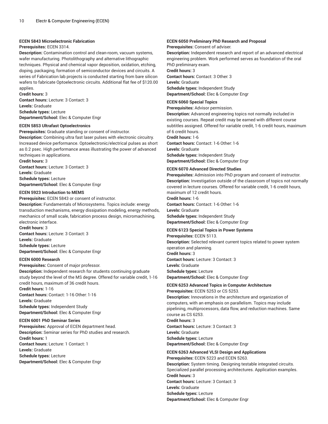#### **ECEN 5843 Microelectronic Fabrication**

#### **Prerequisites:** ECEN 3314.

**Description:** Contamination control and clean-room, vacuum systems, wafer manufacturing. Photolithography and alternative lithographic techniques. Physical and chemical vapor deposition, oxidation, etching, doping, packaging, formation of semiconductor devices and circuits. A series of Fabrication lab projects is conducted starting from bare silicon wafers to fabricate Optoelectronic circuits. Additional flat fee of \$120.00 applies.

**Credit hours:** 3 **Contact hours:** Lecture: 3 Contact: 3 **Levels:** Graduate **Schedule types:** Lecture **Department/School:** Elec & Computer Engr

#### **ECEN 5853 Ultrafast Optoelectronics**

**Prerequisites:** Graduate standing or consent of instructor. **Description:** Combining ultra fast laser pulses with electronic circuitry. Increased device performance. Optoelectronic/electrical pulses as short as 0.2 psec. High performance areas illustrating the power of advanced techniques in applications.

**Credit hours:** 3 **Contact hours:** Lecture: 3 Contact: 3 **Levels:** Graduate **Schedule types:** Lecture **Department/School:** Elec & Computer Engr

#### **ECEN 5923 Introduction to MEMS**

**Prerequisites:** ECEN 5843 or consent of instructor.

**Description:** Fundamentals of Microsystems. Topics include: energy transduction mechanisms, energy dissipation modeling, energy methods, mechanics of small scale, fabrication process design, micromachining, electronic interface.

**Credit hours:** 3 **Contact hours:** Lecture: 3 Contact: 3 **Levels:** Graduate **Schedule types:** Lecture **Department/School:** Elec & Computer Engr

#### **ECEN 6000 Research**

**Prerequisites:** Consent of major professor. **Description:** Independent research for students continuing graduate study beyond the level of the MS degree. Offered for variable credit, 1-16 credit hours, maximum of 36 credit hours. **Credit hours:** 1-16 **Contact hours:** Contact: 1-16 Other: 1-16 **Levels:** Graduate

**Schedule types:** Independent Study **Department/School:** Elec & Computer Engr

#### **ECEN 6001 PhD Seminar Series**

**Prerequisites:** Approval of ECEN department head. **Description:** Seminar series for PhD studies and research. **Credit hours:** 1 **Contact hours:** Lecture: 1 Contact: 1 **Levels:** Graduate **Schedule types:** Lecture **Department/School:** Elec & Computer Engr

#### **ECEN 6050 Preliminary PhD Research and Proposal**

**Prerequisites:** Consent of adviser.

**Description:** Independent research and report of an advanced electrical engineering problem. Work performed serves as foundation of the oral PhD preliminary exam. **Credit hours:** 3

**Contact hours:** Contact: 3 Other: 3 **Levels:** Graduate **Schedule types:** Independent Study **Department/School:** Elec & Computer Engr

#### **ECEN 6060 Special Topics**

**Prerequisites:** Advisor permission.

**Description:** Advanced engineering topics not normally included in existing courses. Repeat credit may be earned with different course subtitles assigned. Offered for variable credit, 1-6 credit hours, maximum of 6 credit hours. **Credit hours:** 1-6

**Contact hours:** Contact: 1-6 Other: 1-6 **Levels:** Graduate

**Schedule types:** Independent Study **Department/School:** Elec & Computer Engr

#### **ECEN 6070 Advanced Directed Studies**

**Prerequisites:** Admission into PhD program and consent of instructor. **Description:** Investigation outside of the classroom of topics not normally covered in lecture courses. Offered for variable credit, 1-6 credit hours, maximum of 12 credit hours.

**Credit hours:** 1-6 **Contact hours:** Contact: 1-6 Other: 1-6 **Levels:** Graduate **Schedule types:** Independent Study **Department/School:** Elec & Computer Engr

#### **ECEN 6123 Special Topics in Power Systems**

**Prerequisites:** ECEN 5113. **Description:** Selected relevant current topics related to power system operation and planning. **Credit hours:** 3 **Contact hours:** Lecture: 3 Contact: 3 **Levels:** Graduate **Schedule types:** Lecture **Department/School:** Elec & Computer Engr

#### **ECEN 6253 Advanced Topics in Computer Architecture**

**Prerequisites:** ECEN 5253 or CS 5253.

**Description:** Innovations in the architecture and organization of computers, with an emphasis on parallelism. Topics may include pipelining, multiprocessors, data flow, and reduction machines. Same course as CS 6253.

**Credit hours:** 3 **Contact hours:** Lecture: 3 Contact: 3 **Levels:** Graduate **Schedule types:** Lecture **Department/School:** Elec & Computer Engr

### **ECEN 6263 Advanced VLSI Design and Applications**

**Prerequisites:** ECEN 5223 and ECEN 5263. **Description:** System timing. Designing testable integrated circuits. Specialized parallel processing architectures. Application examples. **Credit hours:** 3 **Contact hours:** Lecture: 3 Contact: 3 **Levels:** Graduate **Schedule types:** Lecture **Department/School:** Elec & Computer Engr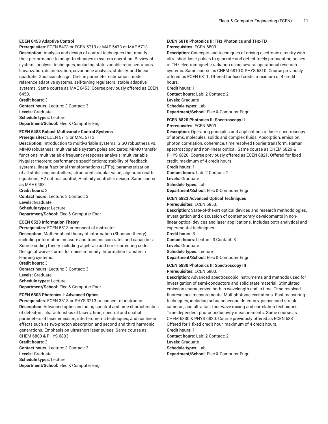#### **ECEN 6453 Adaptive Control**

**Prerequisites:** ECEN 5473 or ECEN 5713 or MAE 5473 or MAE 5713. **Description:** Analysis and design of control techniques that modify their performance to adapt to changes in system operation. Review of systems analysis techniques, including state variable representations, linearization, discretization, covariance analysis, stability, and linear quadratic Gaussian design. On-line parameter estimation, model reference adaptive systems, self-tuning regulators, stable adaptive systems. Same course as MAE 6453. Course previously offered as ECEN 6450.

**Credit hours:** 3

**Contact hours:** Lecture: 3 Contact: 3 **Levels:** Graduate **Schedule types:** Lecture **Department/School:** Elec & Computer Engr

#### **ECEN 6483 Robust Multivariate Control Systems Prerequisites:** ECEN 5713 or MAE 5713.

**Description:** Introduction to multivariable systems: SISO robustness vs. MIMO robustness; multivariable system poles and zeros; MIMO transfer functions; multivariable frequency response analysis; multivariable Nyquist theorem; performance specifications; stability of feedback systems; linear fractional transformations (LFT's); parameterization of all stabilizing controllers; structured singular value; algebraic ricatti equations; H2 optimal control; H-infinity controller design. Same course as MAE 6483.

**Credit hours:** 3 **Contact hours:** Lecture: 3 Contact: 3 **Levels:** Graduate **Schedule types:** Lecture **Department/School:** Elec & Computer Engr

#### **ECEN 6523 Information Theory**

**Prerequisites:** ECEN 5513 or consent of instructor.

**Description:** Mathematical theory of information (Shannon theory) including information measure and transmission rates and capacities. Source coding theory including algebraic and error-correcting codes. Design of waiver-forms for noise immunity. Information transfer in learning systems.

**Credit hours:** 3 **Contact hours:** Lecture: 3 Contact: 3 **Levels:** Graduate **Schedule types:** Lecture **Department/School:** Elec & Computer Engr

#### **ECEN 6803 Photonics I: Advanced Optics**

**Prerequisites:** ECEN 3813 or PHYS 3213 or consent of instructor. **Description:** Advanced optics including spectral and time characteristics of detectors, characteristics of lasers, time, spectral and spatial parameters of laser emission, interferometric techniques, and nonlinear effects such as two-photon absorption and second and third harmonic generations. Emphasis on ultrashort laser pulses. Same course as CHEM 6803 & PHYS 6803. **Credit hours:** 3

**Contact hours:** Lecture: 3 Contact: 3 **Levels:** Graduate **Schedule types:** Lecture **Department/School:** Elec & Computer Engr

#### **ECEN 6810 Photonics II: THz Photonics and THz-TD Prerequisites:** ECEN 6803.

**Description:** Concepts and techniques of driving electronic circuitry with ultra short laser pulses to generate and detect freely propagating pulses of THz electromagnetic radiation using several operational research systems. Same course as CHEM 6810 & PHYS 6810. Course previously offered as ECEN 6811. Offered for fixed credit, maximum of 4 credit hours.

**Credit hours:** 1 **Contact hours:** Lab: 2 Contact: 2 **Levels:** Graduate **Schedule types:** Lab **Department/School:** Elec & Computer Engr

#### **ECEN 6820 Photonics II: Spectroscopy II**

**Prerequisites:** ECEN 6803.

**Description:** Operating principles and applications of laser spectroscopy of atoms, molecules, solids and complex fluids. Absorption, emission, photon correlation, coherence, time resolved Fourier transform. Raman spectroscopy and non-linear optical. Same course as CHEM 6820 & PHYS 6820. Course previously offered as ECEN 6821. Offered for fixed credit, maximum of 4 credit hours.

**Credit hours:** 1 **Contact hours:** Lab: 2 Contact: 2 **Levels:** Graduate

**Schedule types:** Lab

**Department/School:** Elec & Computer Engr

#### **ECEN 6823 Advanced Optical Techniques**

**Prerequisites:** ECEN 5853.

**Description:** State-of-the-art optical devices and research methodologies. Investigation and discussion of contemporary developments in nonlinear optical devices and laser applications. Includes both analytical and experimental techniques.

**Credit hours:** 3 **Contact hours:** Lecture: 3 Contact: 3 **Levels:** Graduate **Schedule types:** Lecture **Department/School:** Elec & Computer Engr

#### **ECEN 6830 Photonics II: Spectroscopy III**

**Prerequisites:** ECEN 6803.

**Description:** Advanced spectroscopic instruments and methods used for investigation of semi-conductors and solid state material. Stimulated emission characterized both in wavelength and in time. Time-resolved fluorescence measurements. Multiphotonic excitations. Fast measuring techniques, including subnanosecond detectors, picosecond streak cameras, and ultra fast four-wave mixing and correlation techniques. Time-dependent photoconductivity measurements. Same course as CHEM 6830 & PHYS 6830. Course previously offered as ECEN 6831. Offered for 1 fixed credit hour, maximum of 4 credit hours. **Credit hours:** 1

**Contact hours:** Lab: 2 Contact: 2 **Levels:** Graduate **Schedule types:** Lab **Department/School:** Elec & Computer Engr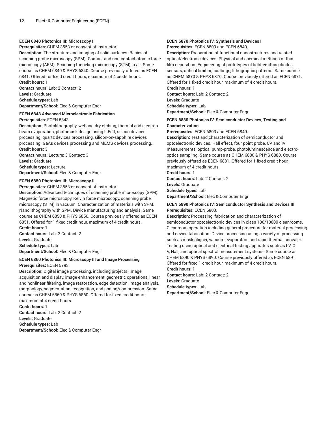#### **ECEN 6840 Photonics III: Microscopy I**

**Prerequisites:** CHEM 3553 or consent of instructor.

**Description:** The structure and imaging of solid surfaces. Basics of scanning probe microscopy (SPM). Contact and non-contact atomic force microscopy (AFM). Scanning tunneling microscopy (STM) in air. Same course as CHEM 6840 & PHYS 6840. Course previously offered as ECEN 6841. Offered for fixed credit hours, maximum of 4 credit hours. **Credit hours:** 1

**Contact hours:** Lab: 2 Contact: 2 **Levels:** Graduate **Schedule types:** Lab

**Department/School:** Elec & Computer Engr

#### **ECEN 6843 Advanced Microelectronic Fabrication Prerequisites:** ECEN 5843.

**Description:** Photolithography, wet and dry etching, thermal and electron beam evaporation, photomask design using L-Edit, silicon devices processing, quartz devices processing, silicon-on-sapphire devices processing. GaAs devices processing and MEMS devices processing. **Credit hours:** 3

**Contact hours:** Lecture: 3 Contact: 3 **Levels:** Graduate **Schedule types:** Lecture **Department/School:** Elec & Computer Engr

#### **ECEN 6850 Photonics III: Microscopy II**

**Prerequisites:** CHEM 3553 or consent of instructor.

**Description:** Advanced techniques of scanning probe microscopy (SPM). Magnetic force microscopy, Kelvin force microscopy, scanning probe microscopy (STM) in vacuum. Characterization of materials with SPM. Nanolithography with SPM. Device manufacturing and analysis. Same course as CHEM 6850 & PHYS 6850. Course previously offered as ECEN 6851. Offered for 1 fixed credit hour, maximum of 4 credit hours. **Credit hours:** 1 **Contact hours:** Lab: 2 Contact: 2 **Levels:** Graduate

**Schedule types:** Lab **Department/School:** Elec & Computer Engr

#### **ECEN 6860 Photonics III: Microscopy III and Image Processing Prerequisites:** ECEN 5793.

**Description:** Digital image processing, including projects. Image acquisition and display, image enhancement, geometric operations, linear and nonlinear filtering, image restoration, edge detection, image analysis, morphology, segmentation, recognition, and coding/compression. Same course as CHEM 6860 & PHYS 6860. Offered for fixed credit hours,

maximum of 4 credit hours. **Credit hours:** 1 **Contact hours:** Lab: 2 Contact: 2 **Levels:** Graduate **Schedule types:** Lab **Department/School:** Elec & Computer Engr

#### **ECEN 6870 Photonics IV: Synthesis and Devices I Prerequisites:** ECEN 6803 and ECEN 6840.

**Description:** Preparation of functional nanostructures and related optical/electronic devices. Physical and chemical methods of thin film deposition. Engineering of prototypes of light emitting diodes, sensors, optical limiting coatings, lithographic patterns. Same course as CHEM 6870 & PHYS 6870. Course previously offered as ECEN 6871. Offered for 1 fixed credit hour, maximum of 4 credit hours.

**Credit hours:** 1

**Contact hours:** Lab: 2 Contact: 2

**Levels:** Graduate

**Schedule types:** Lab

**Department/School:** Elec & Computer Engr

#### **ECEN 6880 Photonics IV: Semiconductor Devices, Testing and Characterization**

**Prerequisites:** ECEN 6803 and ECEN 6840.

**Description:** Test and characterization of semiconductor and optoelectronic devices. Hall effect, four point probe, CV and IV measurements, optical pump-probe, photoluminescence and electrooptics sampling. Same course as CHEM 6880 & PHYS 6880. Course previously offered as ECEN 6881. Offered for 1 fixed credit hour, maximum of 4 credit hours.

**Credit hours:** 1

**Contact hours:** Lab: 2 Contact: 2 **Levels:** Graduate

**Schedule types:** Lab

**Department/School:** Elec & Computer Engr

#### **ECEN 6890 Photonics IV: Semiconductor Synthesis and Devices III Prerequisites:** ECEN 6803.

**Description:** Processing, fabrication and characterization of semiconductor optoelectronic devices in class 100/10000 cleanrooms. Cleanroom operation including general procedure for material processing and device fabrication. Device processing using a variety of processing such as mask aligner, vacuum evaporators and rapid thermal annealer. Testing using optical and electrical testing apparatus such as I-V, C-V, Hall, and optical spectral measurement systems. Same course as CHEM 6890 & PHYS 6890. Course previously offered as ECEN 6891. Offered for fixed 1 credit hour, maximum of 4 credit hours. **Credit hours:** 1

**Contact hours:** Lab: 2 Contact: 2 **Levels:** Graduate **Schedule types:** Lab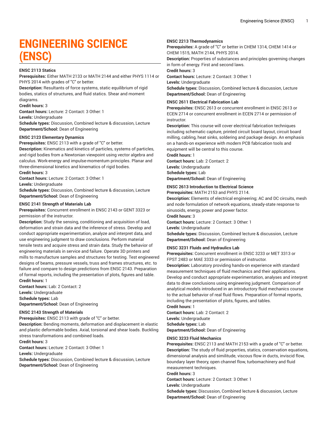## **ENGINEERING SCIENCE (ENSC)**

#### **ENSC 2113 Statics**

**Prerequisites:** Either MATH 2133 or MATH 2144 and either PHYS 1114 or PHYS 2014 with grades of "C" or better.

**Description:** Resultants of force systems, static equilibrium of rigid bodies, statics of structures, and fluid statics. Shear and moment diagrams.

**Credit hours:** 3

**Contact hours:** Lecture: 2 Contact: 3 Other: 1

**Levels:** Undergraduate

**Schedule types:** Discussion, Combined lecture & discussion, Lecture **Department/School:** Dean of Engineering

#### **ENSC 2123 Elementary Dynamics**

**Prerequisites:** ENSC 2113 with a grade of "C" or better.

**Description:** Kinematics and kinetics of particles, systems of particles, and rigid bodies from a Newtonian viewpoint using vector algebra and calculus. Work-energy and impulse-momentum principles. Planar and three-dimensional kinetics and kinematics of rigid bodies.

**Credit hours:** 3

**Contact hours:** Lecture: 2 Contact: 3 Other: 1

**Levels:** Undergraduate

**Schedule types:** Discussion, Combined lecture & discussion, Lecture **Department/School:** Dean of Engineering

#### **ENSC 2141 Strength of Materials Lab**

**Prerequisites:** Concurrent enrollment in ENSC 2143 or GENT 3323 or permission of the instructor.

**Description:** Study the sensing, conditioning and acquisition of load, deformation and strain data and the inference of stress. Develop and conduct appropriate experimentation, analyze and interpret data, and use engineering judgment to draw conclusions. Perform material tensile tests and acquire stress and strain data. Study the behavior of engineering materials in service and failure. Operate 3D printers and mills to manufacture samples and structures for testing. Test engineered designs of beams, pressure vessels, truss and frames structures, etc. to failure and compare to design predictions from ENSC 2143. Preparation of formal reports, including the presentation of plots, figures and table. **Credit hours:** 1

**Contact hours:** Lab: 2 Contact: 2 **Levels:** Undergraduate **Schedule types:** Lab **Department/School:** Dean of Engineering

#### **ENSC 2143 Strength of Materials**

**Prerequisites:** ENSC 2113 with grade of "C" or better.

**Description:** Bending moments, deformation and displacement in elastic and plastic deformable bodies. Axial, torsional and shear loads. Buckling stress transformations and combined loads.

**Credit hours:** 3

**Contact hours:** Lecture: 2 Contact: 3 Other: 1 **Levels:** Undergraduate

**Schedule types:** Discussion, Combined lecture & discussion, Lecture **Department/School:** Dean of Engineering

#### **ENSC 2213 Thermodynamics**

**Prerequisites:** A grade of "C" or better in CHEM 1314, CHEM 1414 or CHEM 1515, MATH 2144, PHYS 2014.

**Description:** Properties of substances and principles governing changes in form of energy. First and second laws.

**Credit hours:** 3

**Contact hours:** Lecture: 2 Contact: 3 Other: 1

**Levels:** Undergraduate

**Schedule types:** Discussion, Combined lecture & discussion, Lecture **Department/School:** Dean of Engineering

#### **ENSC 2611 Electrical Fabrication Lab**

**Prerequisites:** ENSC 2613 or concurrent enrollment in ENSC 2613 or ECEN 2714 or concurrent enrollment in ECEN 2714 or permission of instructor.

**Description:** This course will cover electrical fabrication techniques including schematic capture, printed circuit board layout, circuit board milling, cabling, heat sinks, soldering and package design. An emphasis on a hands-on experience with modern PCB fabrication tools and equipment will be central to this course.

**Credit hours:** 1

**Contact hours:** Lab: 2 Contact: 2 **Levels:** Undergraduate **Schedule types:** Lab **Department/School:** Dean of Engineering

#### **ENSC 2613 Introduction to Electrical Science**

**Prerequisites:** MATH 2153 and PHYS 2114.

**Description:** Elements of electrical engineering; AC and DC circuits, mesh and node formulation of network equations, steady-state response to sinusoids, energy, power and power factor.

**Credit hours:** 3

**Contact hours:** Lecture: 2 Contact: 3 Other: 1

**Levels:** Undergraduate

**Schedule types:** Discussion, Combined lecture & discussion, Lecture **Department/School:** Dean of Engineering

#### **ENSC 3231 Fluids and Hydraulics Lab**

**Prerequisites:** Concurrent enrollment in ENSC 3233 or MET 3313 or FPST 2483 or MAE 3333 or permission of instructor.

**Description:** Laboratory providing hands-on experience with standard measurement techniques of fluid mechanics and their applications. Develop and conduct appropriate experimentation, analyses and interpret data to draw conclusions using engineering judgment. Comparison of analytical models introduced in an introductory fluid mechanics course to the actual behavior of real fluid flows. Preparation of formal reports, including the presentation of plots, figures, and tables.

**Credit hours:** 1

**Contact hours:** Lab: 2 Contact: 2 **Levels:** Undergraduate **Schedule types:** Lab **Department/School:** Dean of Engineering

#### **ENSC 3233 Fluid Mechanics**

**Prerequisites:** ENSC 2113 and MATH 2153 with a grade of "C" or better. **Description:** The study of fluid properties, statics, conservation equations, dimensional analysis and similitude, viscous flow in ducts, inviscid flow, boundary layer theory, open channel flow, turbomachinery and fluid measurement techniques.

**Credit hours:** 3

**Contact hours:** Lecture: 2 Contact: 3 Other: 1

**Levels:** Undergraduate

**Schedule types:** Discussion, Combined lecture & discussion, Lecture **Department/School:** Dean of Engineering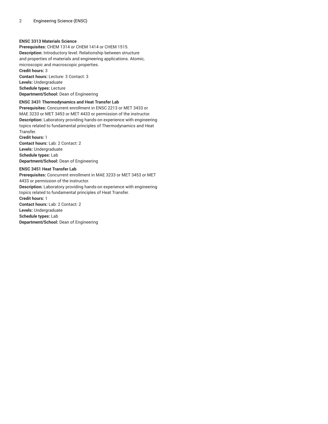#### **ENSC 3313 Materials Science**

**Prerequisites:** CHEM 1314 or CHEM 1414 or CHEM 1515. **Description:** Introductory level. Relationship between structure and properties of materials and engineering applications. Atomic, microscopic and macroscopic properties. **Credit hours:** 3 **Contact hours:** Lecture: 3 Contact: 3 **Levels:** Undergraduate **Schedule types:** Lecture **Department/School:** Dean of Engineering

#### **ENSC 3431 Thermodynamics and Heat Transfer Lab**

**Prerequisites:** Concurrent enrollment in ENSC 2213 or MET 3433 or MAE 3233 or MET 3453 or MET 4433 or permission of the instructor. **Description:** Laboratory providing hands-on experience with engineering topics related to fundamental principles of Thermodynamics and Heat Transfer.

**Credit hours:** 1 **Contact hours:** Lab: 2 Contact: 2 **Levels:** Undergraduate **Schedule types:** Lab **Department/School:** Dean of Engineering

#### **ENSC 3451 Heat Transfer Lab**

**Prerequisites:** Concurrent enrollment in MAE 3233 or MET 3453 or MET 4433 or permission of the instructor. **Description:** Laboratory providing hands-on experience with engineering topics related to fundamental principles of Heat Transfer. **Credit hours:** 1 **Contact hours:** Lab: 2 Contact: 2 **Levels:** Undergraduate **Schedule types:** Lab **Department/School:** Dean of Engineering